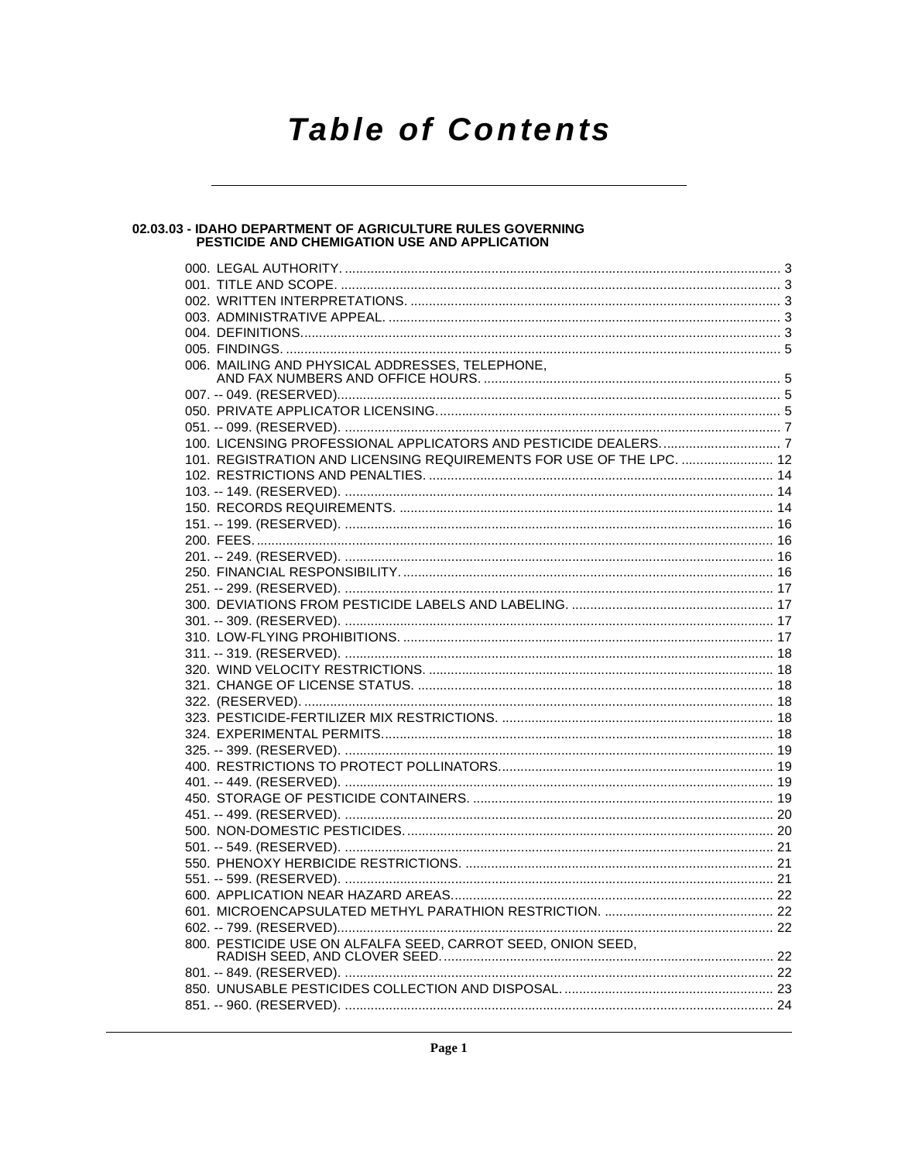# **Table of Contents**

# 02.03.03 - IDAHO DEPARTMENT OF AGRICULTURE RULES GOVERNING<br>PESTICIDE AND CHEMIGATION USE AND APPLICATION

| 006. MAILING AND PHYSICAL ADDRESSES, TELEPHONE,                      |  |
|----------------------------------------------------------------------|--|
|                                                                      |  |
|                                                                      |  |
|                                                                      |  |
|                                                                      |  |
|                                                                      |  |
| 101. REGISTRATION AND LICENSING REQUIREMENTS FOR USE OF THE LPC.  12 |  |
|                                                                      |  |
|                                                                      |  |
|                                                                      |  |
|                                                                      |  |
|                                                                      |  |
|                                                                      |  |
|                                                                      |  |
|                                                                      |  |
|                                                                      |  |
|                                                                      |  |
|                                                                      |  |
|                                                                      |  |
|                                                                      |  |
|                                                                      |  |
|                                                                      |  |
|                                                                      |  |
|                                                                      |  |
|                                                                      |  |
|                                                                      |  |
|                                                                      |  |
|                                                                      |  |
|                                                                      |  |
|                                                                      |  |
|                                                                      |  |
|                                                                      |  |
|                                                                      |  |
|                                                                      |  |
|                                                                      |  |
|                                                                      |  |
|                                                                      |  |
|                                                                      |  |
|                                                                      |  |
|                                                                      |  |
|                                                                      |  |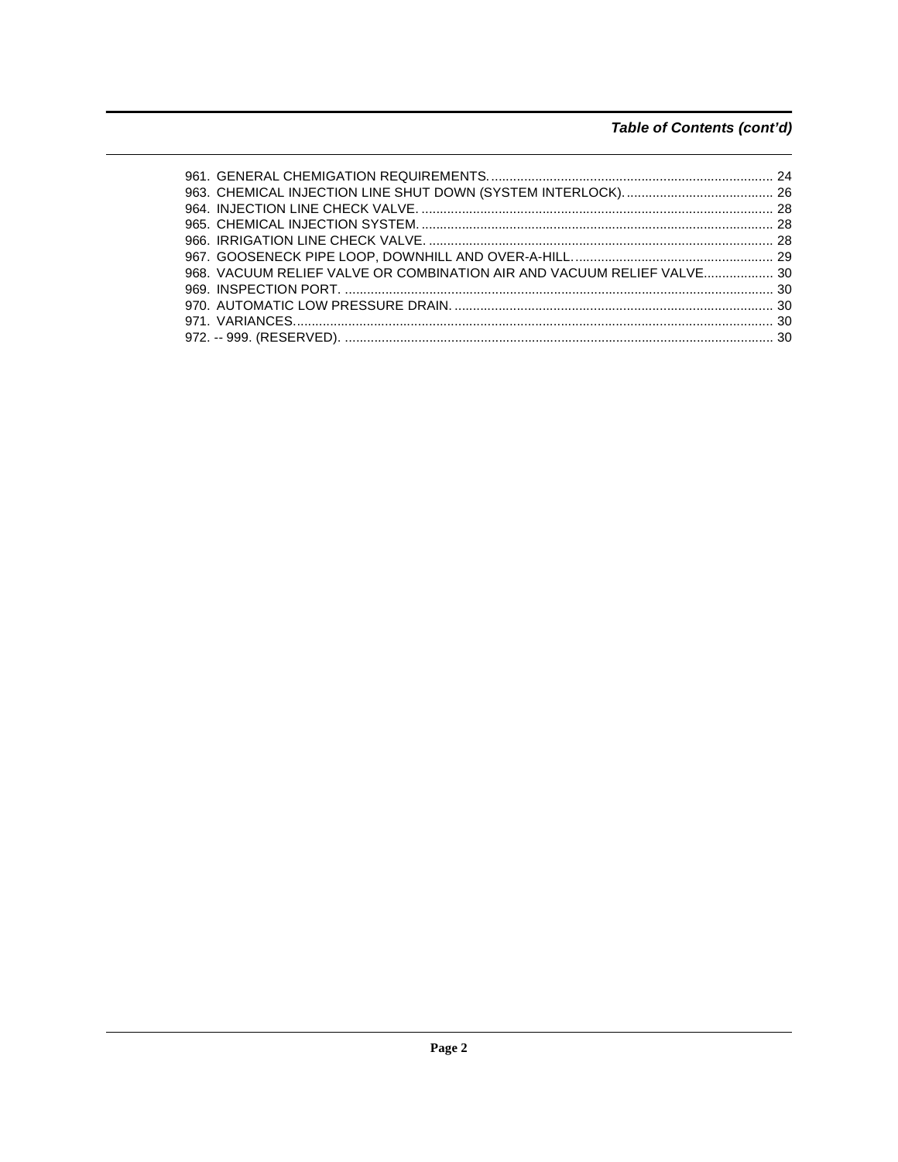# Table of Contents (cont'd)

| 968. VACUUM RELIEF VALVE OR COMBINATION AIR AND VACUUM RELIEF VALVE 30 |  |
|------------------------------------------------------------------------|--|
|                                                                        |  |
|                                                                        |  |
|                                                                        |  |
|                                                                        |  |
|                                                                        |  |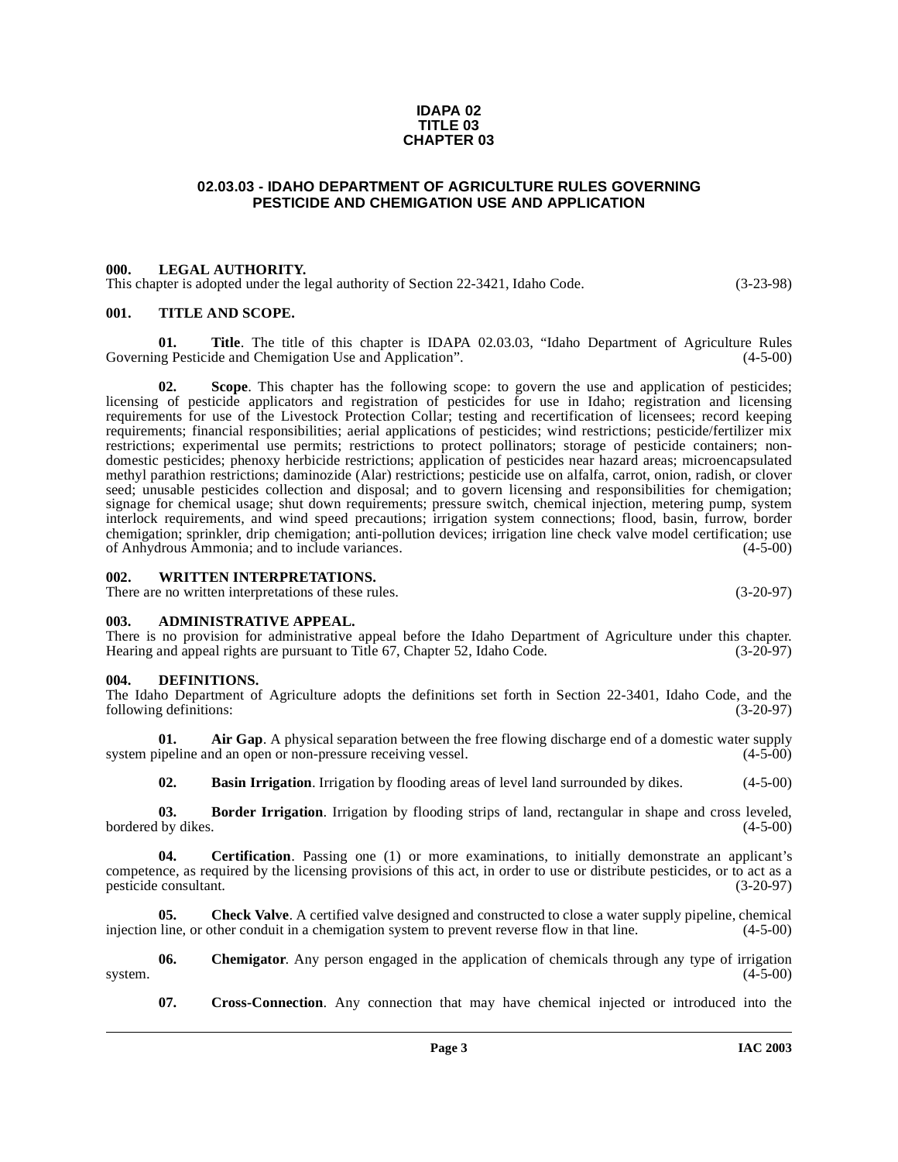#### **IDAPA 02 TITLE 03 CHAPTER 03**

#### **02.03.03 - IDAHO DEPARTMENT OF AGRICULTURE RULES GOVERNING PESTICIDE AND CHEMIGATION USE AND APPLICATION**

#### <span id="page-2-1"></span><span id="page-2-0"></span>**000. LEGAL AUTHORITY.**

This chapter is adopted under the legal authority of Section 22-3421, Idaho Code. (3-23-98)

#### <span id="page-2-2"></span>**001. TITLE AND SCOPE.**

**01.** Title. The title of this chapter is IDAPA 02.03.03, "Idaho Department of Agriculture Rules ng Pesticide and Chemigation Use and Application". (4-5-00) Governing Pesticide and Chemigation Use and Application".

**02. Scope**. This chapter has the following scope: to govern the use and application of pesticides; licensing of pesticide applicators and registration of pesticides for use in Idaho; registration and licensing requirements for use of the Livestock Protection Collar; testing and recertification of licensees; record keeping requirements; financial responsibilities; aerial applications of pesticides; wind restrictions; pesticide/fertilizer mix restrictions; experimental use permits; restrictions to protect pollinators; storage of pesticide containers; nondomestic pesticides; phenoxy herbicide restrictions; application of pesticides near hazard areas; microencapsulated methyl parathion restrictions; daminozide (Alar) restrictions; pesticide use on alfalfa, carrot, onion, radish, or clover seed; unusable pesticides collection and disposal; and to govern licensing and responsibilities for chemigation; signage for chemical usage; shut down requirements; pressure switch, chemical injection, metering pump, system interlock requirements, and wind speed precautions; irrigation system connections; flood, basin, furrow, border chemigation; sprinkler, drip chemigation; anti-pollution devices; irrigation line check valve model certification; use<br>of Anhydrous Ammonia; and to include variances. (4-5-00) of Anhydrous Ammonia; and to include variances.

#### <span id="page-2-3"></span>**002. WRITTEN INTERPRETATIONS.**

There are no written interpretations of these rules. (3-20-97)

#### <span id="page-2-4"></span>**003. ADMINISTRATIVE APPEAL.**

There is no provision for administrative appeal before the Idaho Department of Agriculture under this chapter.<br>Hearing and appeal rights are pursuant to Title 67, Chapter 52, Idaho Code. (3-20-97) Hearing and appeal rights are pursuant to Title 67, Chapter 52, Idaho Code.

#### <span id="page-2-13"></span><span id="page-2-5"></span>**004. DEFINITIONS.**

The Idaho Department of Agriculture adopts the definitions set forth in Section 22-3401, Idaho Code, and the following definitions: (3-20-97) following definitions:

**Air Gap**. A physical separation between the free flowing discharge end of a domestic water supply nd an open or non-pressure receiving vessel. (4-5-00) system pipeline and an open or non-pressure receiving vessel.

<span id="page-2-9"></span><span id="page-2-8"></span><span id="page-2-7"></span><span id="page-2-6"></span>**02. Basin Irrigation**. Irrigation by flooding areas of level land surrounded by dikes.  $(4-5-00)$ 

**03. Border Irrigation**. Irrigation by flooding strips of land, rectangular in shape and cross leveled, bordered by dikes. (4-5-00)

**04. Certification**. Passing one (1) or more examinations, to initially demonstrate an applicant's competence, as required by the licensing provisions of this act, in order to use or distribute pesticides, or to act as a pesticide consultant. (3-20-97)

<span id="page-2-10"></span>**05.** Check Valve. A certified valve designed and constructed to close a water supply pipeline, chemical line, or other conduit in a chemigation system to prevent reverse flow in that line. (4-5-00) injection line, or other conduit in a chemigation system to prevent reverse flow in that line.

**06.** Chemigator. Any person engaged in the application of chemicals through any type of irrigation system.  $(4-5-00)$ 

<span id="page-2-12"></span><span id="page-2-11"></span>**07. Cross-Connection**. Any connection that may have chemical injected or introduced into the

**Page 3 IAC 2003**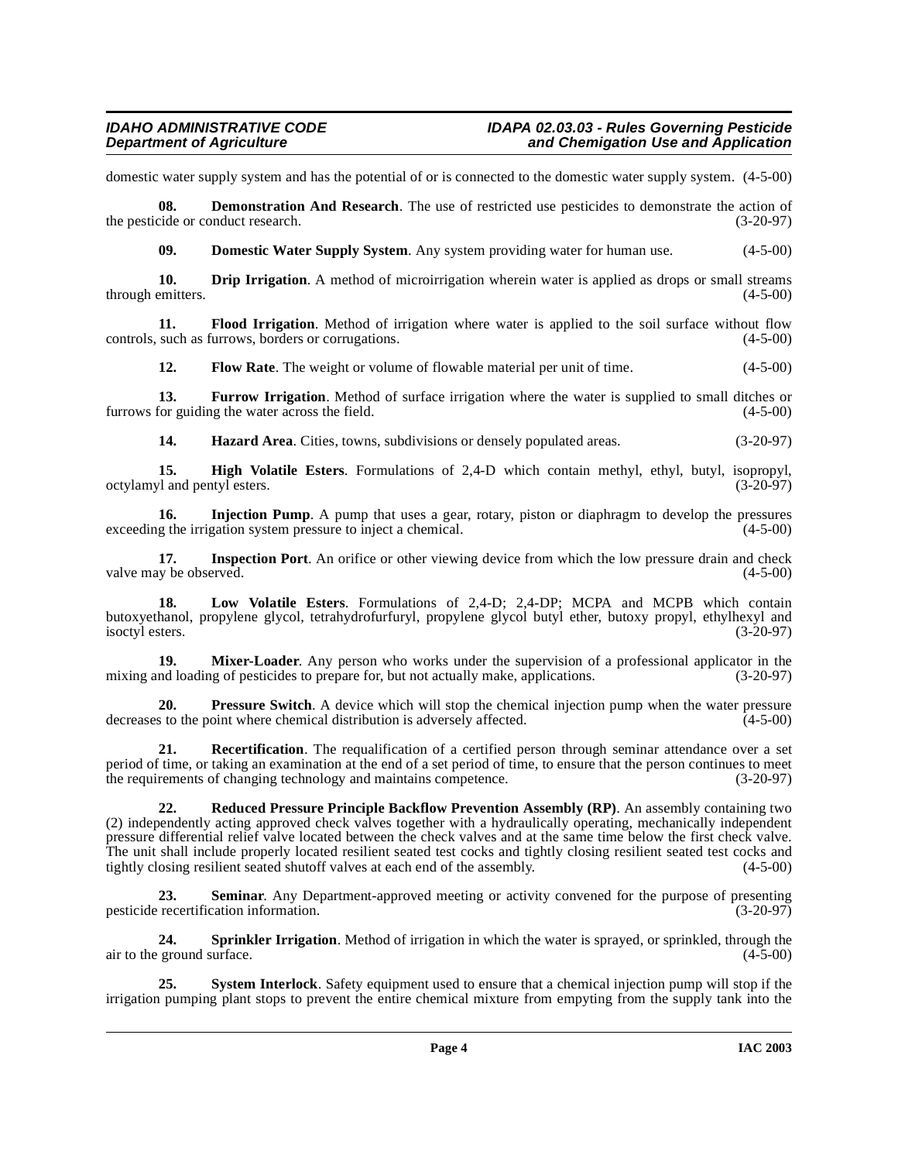domestic water supply system and has the potential of or is connected to the domestic water supply system. (4-5-00)

**08.** Demonstration And Research. The use of restricted use pesticides to demonstrate the action of the pesticide or conduct research. (3-20-97)

<span id="page-3-2"></span><span id="page-3-1"></span><span id="page-3-0"></span>**09. Domestic Water Supply System**. Any system providing water for human use. (4-5-00)

**10. Drip Irrigation**. A method of microirrigation wherein water is applied as drops or small streams emitters. (4-5-00) through emitters.

**11. Flood Irrigation**. Method of irrigation where water is applied to the soil surface without flow such as furrows, borders or corrugations. (4-5-00) controls, such as furrows, borders or corrugations.

<span id="page-3-5"></span><span id="page-3-4"></span><span id="page-3-3"></span>**12. Flow Rate**. The weight or volume of flowable material per unit of time.  $(4-5-00)$ 

**13. Furrow Irrigation**. Method of surface irrigation where the water is supplied to small ditches or for guiding the water across the field. (4-5-00) furrows for guiding the water across the field.

<span id="page-3-8"></span><span id="page-3-7"></span><span id="page-3-6"></span>**14. Hazard Area**. Cities, towns, subdivisions or densely populated areas. (3-20-97)

**15. High Volatile Esters**. Formulations of 2,4-D which contain methyl, ethyl, butyl, isopropyl,  $v1$  and pentyl esters. (3-20-97) octylamyl and pentyl esters.

**16.** Injection Pump. A pump that uses a gear, rotary, piston or diaphragm to develop the pressures exceeding the irrigation system pressure to inject a chemical. (4-5-00)

<span id="page-3-9"></span>**17. Inspection Port**. An orifice or other viewing device from which the low pressure drain and check (4-5-00) (4-5-00) valve may be observed.

<span id="page-3-10"></span>**18. Low Volatile Esters**. Formulations of 2,4-D; 2,4-DP; MCPA and MCPB which contain butoxyethanol, propylene glycol, tetrahydrofurfuryl, propylene glycol butyl ether, butoxy propyl, ethylhexyl and isoctyl esters.

<span id="page-3-11"></span>**19. Mixer-Loader**. Any person who works under the supervision of a professional applicator in the mixing and loading of pesticides to prepare for, but not actually make, applications. (3-20-97)

<span id="page-3-12"></span>**20. Pressure Switch**. A device which will stop the chemical injection pump when the water pressure s to the point where chemical distribution is adversely affected.  $(4-5-00)$ decreases to the point where chemical distribution is adversely affected.

<span id="page-3-13"></span>**21. Recertification**. The requalification of a certified person through seminar attendance over a set period of time, or taking an examination at the end of a set period of time, to ensure that the person continues to meet<br>the requirements of changing technology and maintains competence. (3-20-97) the requirements of changing technology and maintains competence.

<span id="page-3-14"></span>**22. Reduced Pressure Principle Backflow Prevention Assembly (RP)**. An assembly containing two (2) independently acting approved check valves together with a hydraulically operating, mechanically independent pressure differential relief valve located between the check valves and at the same time below the first check valve. The unit shall include properly located resilient seated test cocks and tightly closing resilient seated test cocks and tightly closing resilient seated shutoff valves at each end of the assembly. (4-5-00)

<span id="page-3-15"></span>**23.** Seminar. Any Department-approved meeting or activity convened for the purpose of presenting recertification information. (3-20-97) pesticide recertification information.

<span id="page-3-16"></span>**24. Sprinkler Irrigation**. Method of irrigation in which the water is sprayed, or sprinkled, through the ground surface. (4-5-00) air to the ground surface.

<span id="page-3-17"></span>**25. System Interlock**. Safety equipment used to ensure that a chemical injection pump will stop if the irrigation pumping plant stops to prevent the entire chemical mixture from empyting from the supply tank into the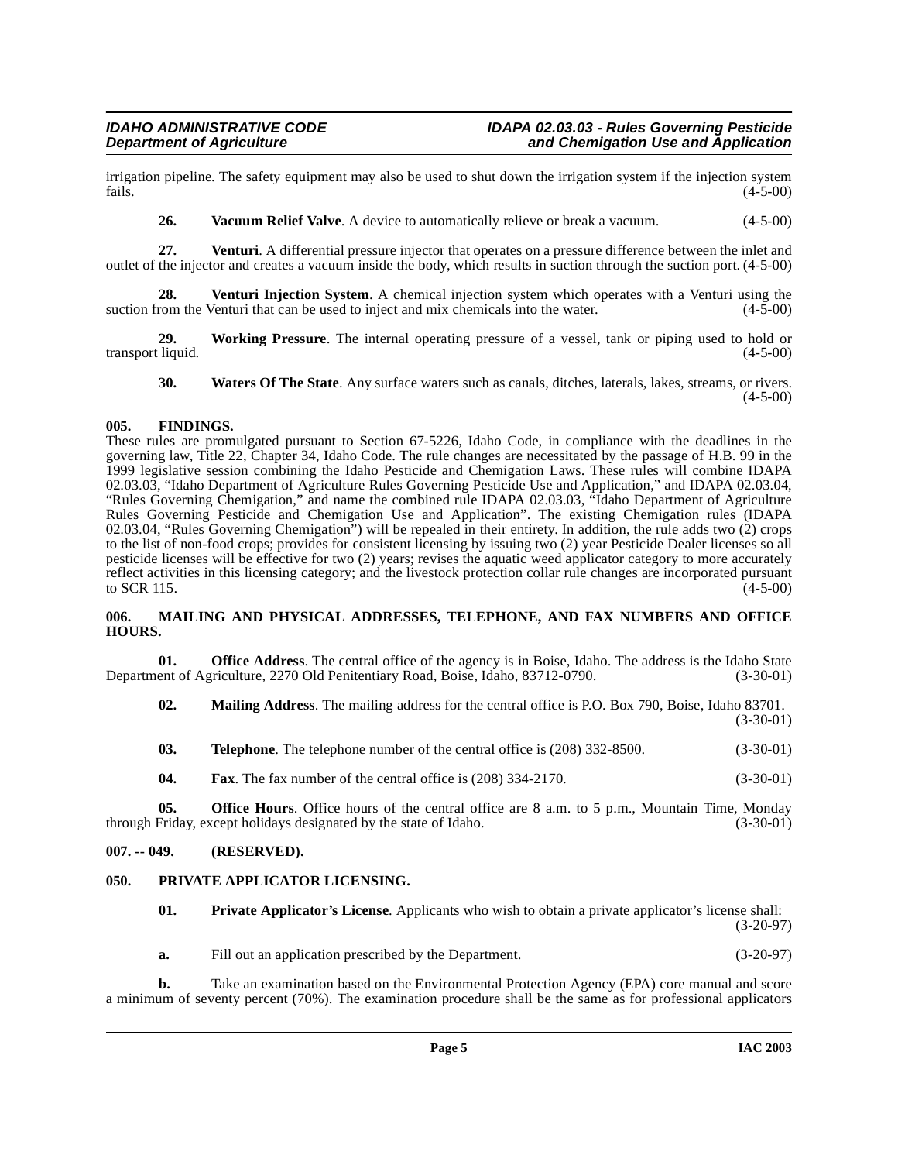irrigation pipeline. The safety equipment may also be used to shut down the irrigation system if the injection system fails. (4-5-00)  $f_{\text{ails.}}$  (4-5-00)

<span id="page-4-7"></span><span id="page-4-6"></span><span id="page-4-5"></span>**26.** Vacuum Relief Valve. A device to automatically relieve or break a vacuum.  $(4-5-00)$ 

**27. Venturi**. A differential pressure injector that operates on a pressure difference between the inlet and outlet of the injector and creates a vacuum inside the body, which results in suction through the suction port. (4-5-00)

**28. Venturi Injection System**. A chemical injection system which operates with a Venturi using the suction from the Venturi that can be used to inject and mix chemicals into the water.  $(4-5-00)$ 

**29.** Working Pressure. The internal operating pressure of a vessel, tank or piping used to hold or liquid. (4-5-00) transport liquid.

<span id="page-4-9"></span><span id="page-4-8"></span>**30. Waters Of The State**. Any surface waters such as canals, ditches, laterals, lakes, streams, or rivers.  $(4-5-00)$ 

### <span id="page-4-0"></span>**005. FINDINGS.**

These rules are promulgated pursuant to Section 67-5226, Idaho Code, in compliance with the deadlines in the governing law, Title 22, Chapter 34, Idaho Code. The rule changes are necessitated by the passage of H.B. 99 in the 1999 legislative session combining the Idaho Pesticide and Chemigation Laws. These rules will combine IDAPA 02.03.03, "Idaho Department of Agriculture Rules Governing Pesticide Use and Application," and IDAPA 02.03.04, "Rules Governing Chemigation," and name the combined rule IDAPA 02.03.03, "Idaho Department of Agriculture Rules Governing Pesticide and Chemigation Use and Application". The existing Chemigation rules (IDAPA 02.03.04, "Rules Governing Chemigation") will be repealed in their entirety. In addition, the rule adds two (2) crops to the list of non-food crops; provides for consistent licensing by issuing two (2) year Pesticide Dealer licenses so all pesticide licenses will be effective for two (2) years; revises the aquatic weed applicator category to more accurately reflect activities in this licensing category; and the livestock protection collar rule changes are incorporated pursuant to SCR 115. to SCR 115.  $(4-5-00)$ 

#### <span id="page-4-1"></span>**006. MAILING AND PHYSICAL ADDRESSES, TELEPHONE, AND FAX NUMBERS AND OFFICE HOURS.**

**01. Office Address**. The central office of the agency is in Boise, Idaho. The address is the Idaho State ent of Agriculture, 2270 Old Penitentiary Road, Boise, Idaho, 83712-0790. (3-30-01) Department of Agriculture, 2270 Old Penitentiary Road, Boise, Idaho, 83712-0790.

**02. Mailing Address**. The mailing address for the central office is P.O. Box 790, Boise, Idaho 83701. (3-30-01)

| 03. | <b>Telephone.</b> The telephone number of the central office is (208) 332-8500. |  | $(3-30-01)$ |
|-----|---------------------------------------------------------------------------------|--|-------------|
|     |                                                                                 |  |             |

**04. Fax**. The fax number of the central office is (208) 334-2170. (3-30-01)

**05. Office Hours**. Office hours of the central office are 8 a.m. to 5 p.m., Mountain Time, Monday Friday, except holidays designated by the state of Idaho. (3-30-01) through Friday, except holidays designated by the state of Idaho.

### <span id="page-4-2"></span>**007. -- 049. (RESERVED).**

### <span id="page-4-3"></span>**050. PRIVATE APPLICATOR LICENSING.**

<span id="page-4-4"></span>

| 01. | <b>Private Applicator's License.</b> Applicants who wish to obtain a private applicator's license shall: |             |  |
|-----|----------------------------------------------------------------------------------------------------------|-------------|--|
| а.  | Fill out an application prescribed by the Department.                                                    | $(3-20-97)$ |  |

**b.** Take an examination based on the Environmental Protection Agency (EPA) core manual and score a minimum of seventy percent (70%). The examination procedure shall be the same as for professional applicators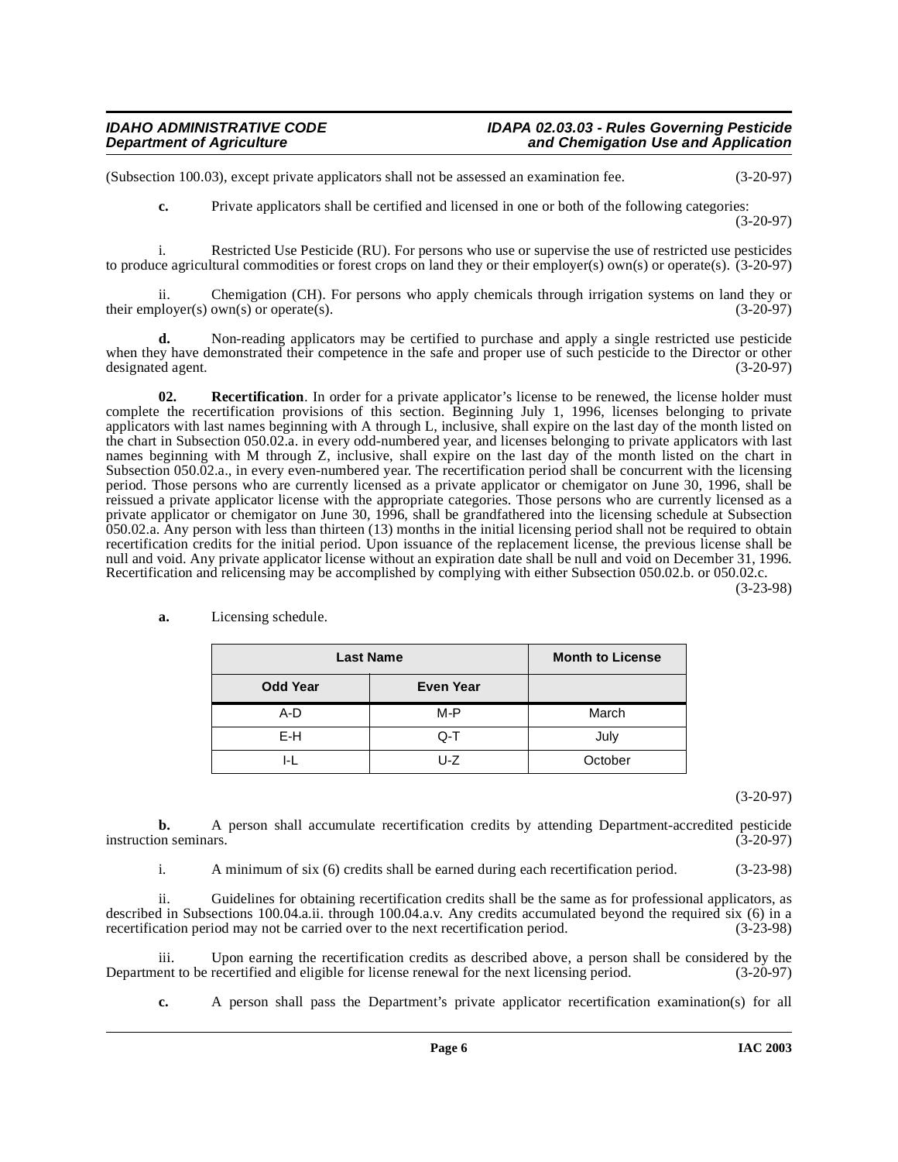(Subsection 100.03), except private applicators shall not be assessed an examination fee. (3-20-97)

**c.** Private applicators shall be certified and licensed in one or both of the following categories: (3-20-97)

i. Restricted Use Pesticide (RU). For persons who use or supervise the use of restricted use pesticides to produce agricultural commodities or forest crops on land they or their employer(s) own(s) or operate(s). (3-20-97)

ii. Chemigation (CH). For persons who apply chemicals through irrigation systems on land they or their employer(s) own(s) or operate(s).  $(3-20-97)$ 

**d.** Non-reading applicators may be certified to purchase and apply a single restricted use pesticide when they have demonstrated their competence in the safe and proper use of such pesticide to the Director or other designated agent. (3-20-97)

<span id="page-5-0"></span>**02.** Recertification. In order for a private applicator's license to be renewed, the license holder must complete the recertification provisions of this section. Beginning July 1, 1996, licenses belonging to private applicators with last names beginning with A through L, inclusive, shall expire on the last day of the month listed on the chart in Subsection 050.02.a. in every odd-numbered year, and licenses belonging to private applicators with last names beginning with M through Z, inclusive, shall expire on the last day of the month listed on the chart in Subsection 050.02.a., in every even-numbered year. The recertification period shall be concurrent with the licensing period. Those persons who are currently licensed as a private applicator or chemigator on June 30, 1996, shall be reissued a private applicator license with the appropriate categories. Those persons who are currently licensed as a private applicator or chemigator on June 30, 1996, shall be grandfathered into the licensing schedule at Subsection 050.02.a. Any person with less than thirteen (13) months in the initial licensing period shall not be required to obtain recertification credits for the initial period. Upon issuance of the replacement license, the previous license shall be null and void. Any private applicator license without an expiration date shall be null and void on December 31, 1996. Recertification and relicensing may be accomplished by complying with either Subsection 050.02.b. or 050.02.c.

(3-23-98)

| <b>Last Name</b> |                  | <b>Month to License</b> |
|------------------|------------------|-------------------------|
| <b>Odd Year</b>  | <b>Even Year</b> |                         |
| A-D              | M-P              | March                   |
| E-H              | Q-T              | July                    |
|                  | U-Z              | October                 |

**a.** Licensing schedule.

(3-20-97)

**b.** A person shall accumulate recertification credits by attending Department-accredited pesticide on seminars. (3-20-97) instruction seminars.

i. A minimum of six (6) credits shall be earned during each recertification period. (3-23-98)

ii. Guidelines for obtaining recertification credits shall be the same as for professional applicators, as described in Subsections 100.04.a.ii. through 100.04.a.v. Any credits accumulated beyond the required six (6) in a recertification period may not be carried over to the next recertification period. (3-23-98)

iii. Upon earning the recertification credits as described above, a person shall be considered by the Department to be recertified and eligible for license renewal for the next licensing period. (3-20-97)

**c.** A person shall pass the Department's private applicator recertification examination(s) for all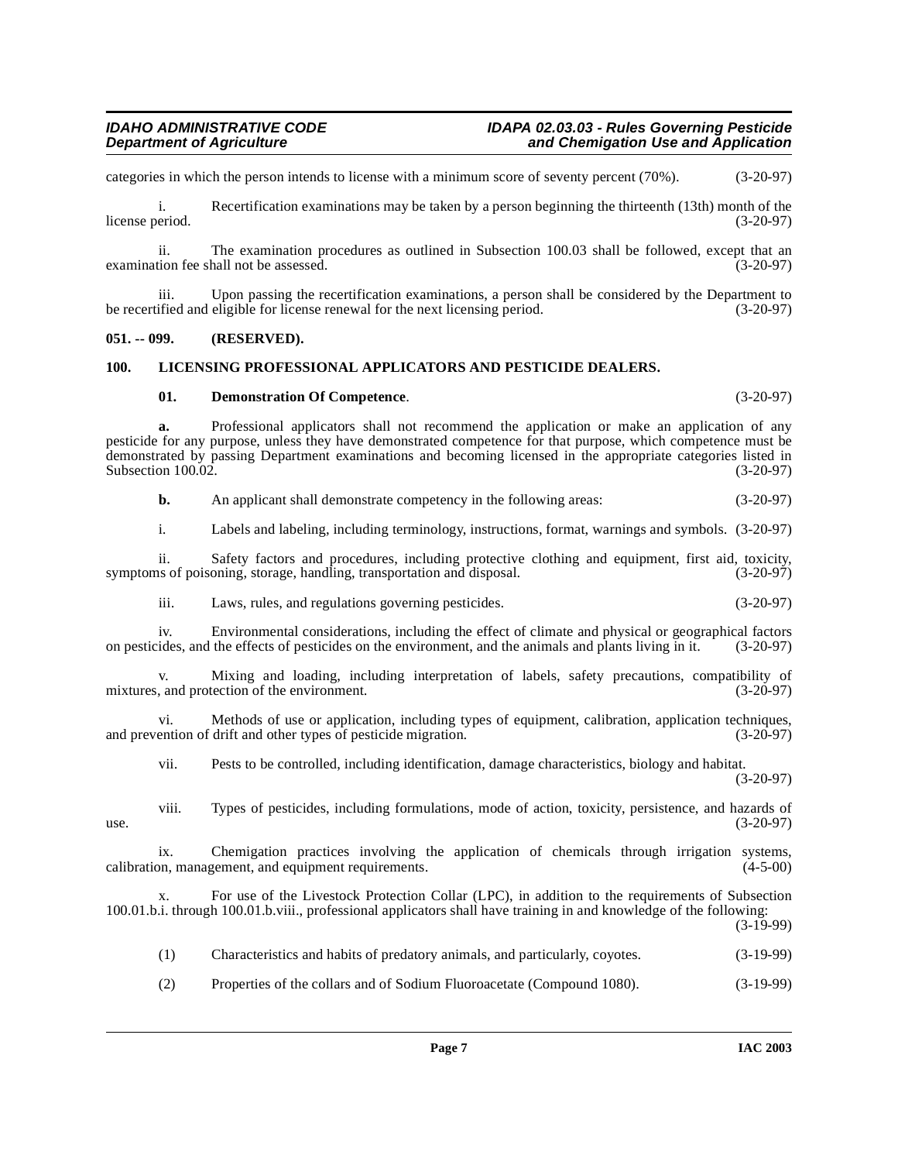categories in which the person intends to license with a minimum score of seventy percent (70%). (3-20-97)

i. Recertification examinations may be taken by a person beginning the thirteenth (13th) month of the license period. (3-20-97) license period. (3-20-97)

ii. The examination procedures as outlined in Subsection 100.03 shall be followed, except that an tion fee shall not be assessed. (3-20-97) examination fee shall not be assessed.

iii. Upon passing the recertification examinations, a person shall be considered by the Department to be recertified and eligible for license renewal for the next licensing period. (3-20-97)

#### <span id="page-6-0"></span>**051. -- 099. (RESERVED).**

#### <span id="page-6-1"></span>**100. LICENSING PROFESSIONAL APPLICATORS AND PESTICIDE DEALERS.**

#### <span id="page-6-3"></span><span id="page-6-2"></span>**01. Demonstration Of Competence**. (3-20-97)

**a.** Professional applicators shall not recommend the application or make an application of any pesticide for any purpose, unless they have demonstrated competence for that purpose, which competence must be demonstrated by passing Department examinations and becoming licensed in the appropriate categories listed in Subsection 100.02. (3-20-97)

**b.** An applicant shall demonstrate competency in the following areas:  $(3-20-97)$ 

i. Labels and labeling, including terminology, instructions, format, warnings and symbols. (3-20-97)

ii. Safety factors and procedures, including protective clothing and equipment, first aid, toxicity, is of poisoning, storage, handling, transportation and disposal. (3-20-97) symptoms of poisoning, storage, handling, transportation and disposal.

iii. Laws, rules, and regulations governing pesticides. (3-20-97)

iv. Environmental considerations, including the effect of climate and physical or geographical factors on pesticides, and the effects of pesticides on the environment, and the animals and plants living in it. (3-20-97)

Mixing and loading, including interpretation of labels, safety precautions, compatibility of tection of the environment. (3-20-97) mixtures, and protection of the environment.

vi. Methods of use or application, including types of equipment, calibration, application techniques, and prevention of drift and other types of pesticide migration. (3-20-97)

vii. Pests to be controlled, including identification, damage characteristics, biology and habitat. (3-20-97)

viii. Types of pesticides, including formulations, mode of action, toxicity, persistence, and hazards of use.  $(3-20-97)$ 

ix. Chemigation practices involving the application of chemicals through irrigation systems, calibration, management, and equipment requirements. (4-5-00)

For use of the Livestock Protection Collar (LPC), in addition to the requirements of Subsection 100.01.b.i. through 100.01.b.viii., professional applicators shall have training in and knowledge of the following:

 $(3-19-99)$ 

| $(3-19-99)$<br>Characteristics and habits of predatory animals, and particularly, coyotes. |
|--------------------------------------------------------------------------------------------|
|--------------------------------------------------------------------------------------------|

(2) Properties of the collars and of Sodium Fluoroacetate (Compound 1080). (3-19-99)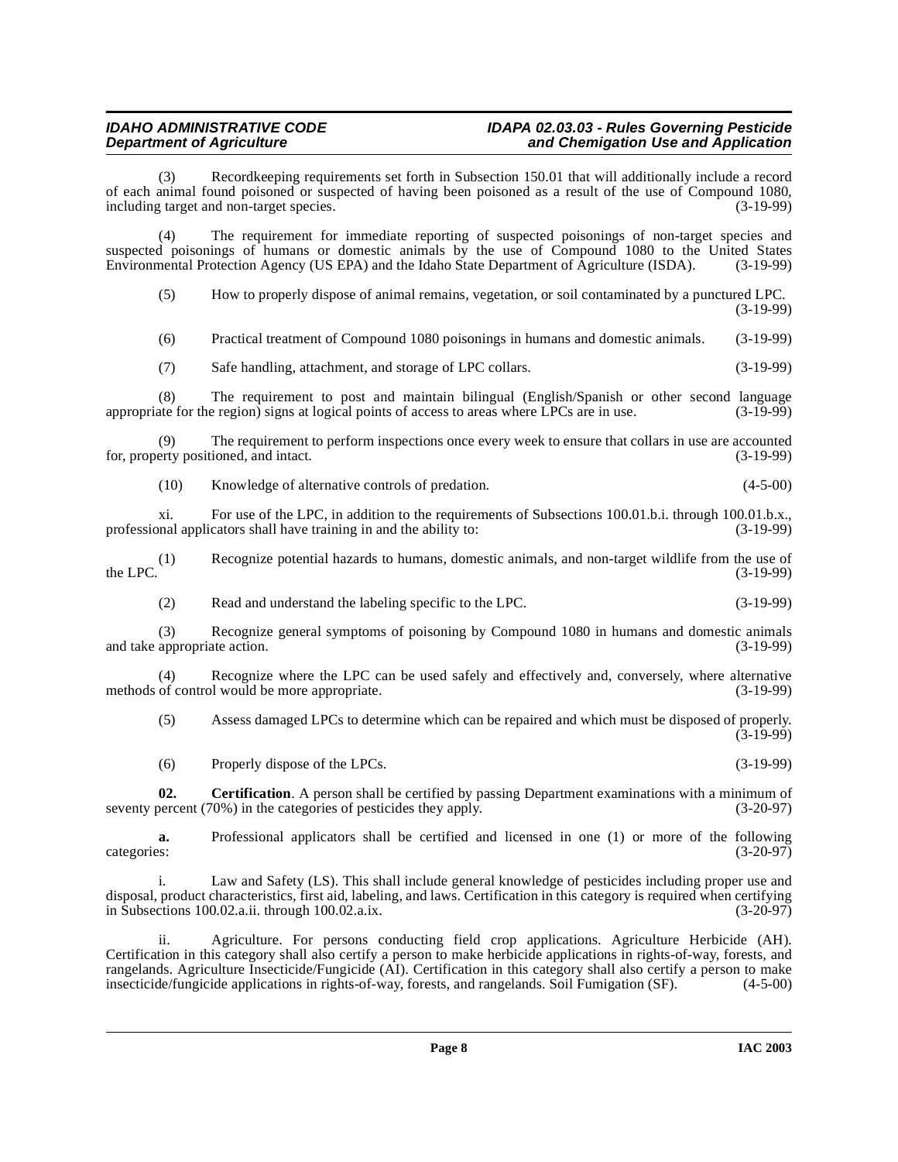(3) Recordkeeping requirements set forth in Subsection 150.01 that will additionally include a record of each animal found poisoned or suspected of having been poisoned as a result of the use of Compound 1080, including target and non-target species. (3-19-99) including target and non-target species.

(4) The requirement for immediate reporting of suspected poisonings of non-target species and suspected poisonings of humans or domestic animals by the use of Compound 1080 to the United States Environmental Protection Agency (US EPA) and the Idaho State Department of Agriculture (ISDA). (3-19-99) Environmental Protection Agency (US EPA) and the Idaho State Department of Agriculture (ISDA).

(5) How to properly dispose of animal remains, vegetation, or soil contaminated by a punctured LPC. (3-19-99)

(6) Practical treatment of Compound 1080 poisonings in humans and domestic animals. (3-19-99)

(7) Safe handling, attachment, and storage of LPC collars. (3-19-99)

(8) The requirement to post and maintain bilingual (English/Spanish or other second language ate for the region) signs at logical points of access to areas where LPCs are in use. (3-19-99) appropriate for the region) signs at logical points of access to areas where LPCs are in use.

(9) The requirement to perform inspections once every week to ensure that collars in use are accounted for, property positioned, and intact. (3-19-99)

(10) Knowledge of alternative controls of predation. (4-5-00)

xi. For use of the LPC, in addition to the requirements of Subsections 100.01.b.i. through 100.01.b.x., nnal applicators shall have training in and the ability to: (3-19-99) professional applicators shall have training in and the ability to:

(1) Recognize potential hazards to humans, domestic animals, and non-target wildlife from the use of the LPC.  $(3-19-99)$ 

(2) Read and understand the labeling specific to the LPC. (3-19-99)

(3) Recognize general symptoms of poisoning by Compound 1080 in humans and domestic animals and take appropriate action.

(4) Recognize where the LPC can be used safely and effectively and, conversely, where alternative methods of control would be more appropriate. (3-19-99)

(5) Assess damaged LPCs to determine which can be repaired and which must be disposed of properly.  $(3-19-99)$ 

<span id="page-7-0"></span>(6) Properly dispose of the LPCs. (3-19-99)

**02. Certification**. A person shall be certified by passing Department examinations with a minimum of seventy percent (70%) in the categories of pesticides they apply. (3-20-97)

**a.** Professional applicators shall be certified and licensed in one (1) or more of the following ss: categories: (3-20-97)

i. Law and Safety (LS). This shall include general knowledge of pesticides including proper use and disposal, product characteristics, first aid, labeling, and laws. Certification in this category is required when certifying in Subsections  $100.02$ .a.ii. through  $100.02$ .a.ix.

ii. Agriculture. For persons conducting field crop applications. Agriculture Herbicide (AH). Certification in this category shall also certify a person to make herbicide applications in rights-of-way, forests, and rangelands. Agriculture Insecticide/Fungicide (AI). Certification in this category shall also certify a person to make insecticide/fungicide applications in rights-of-way, forests, and rangelands. Soil Fumigation (SF). (4insecticide/fungicide applications in rights-of-way, forests, and rangelands. Soil Fumigation (SF).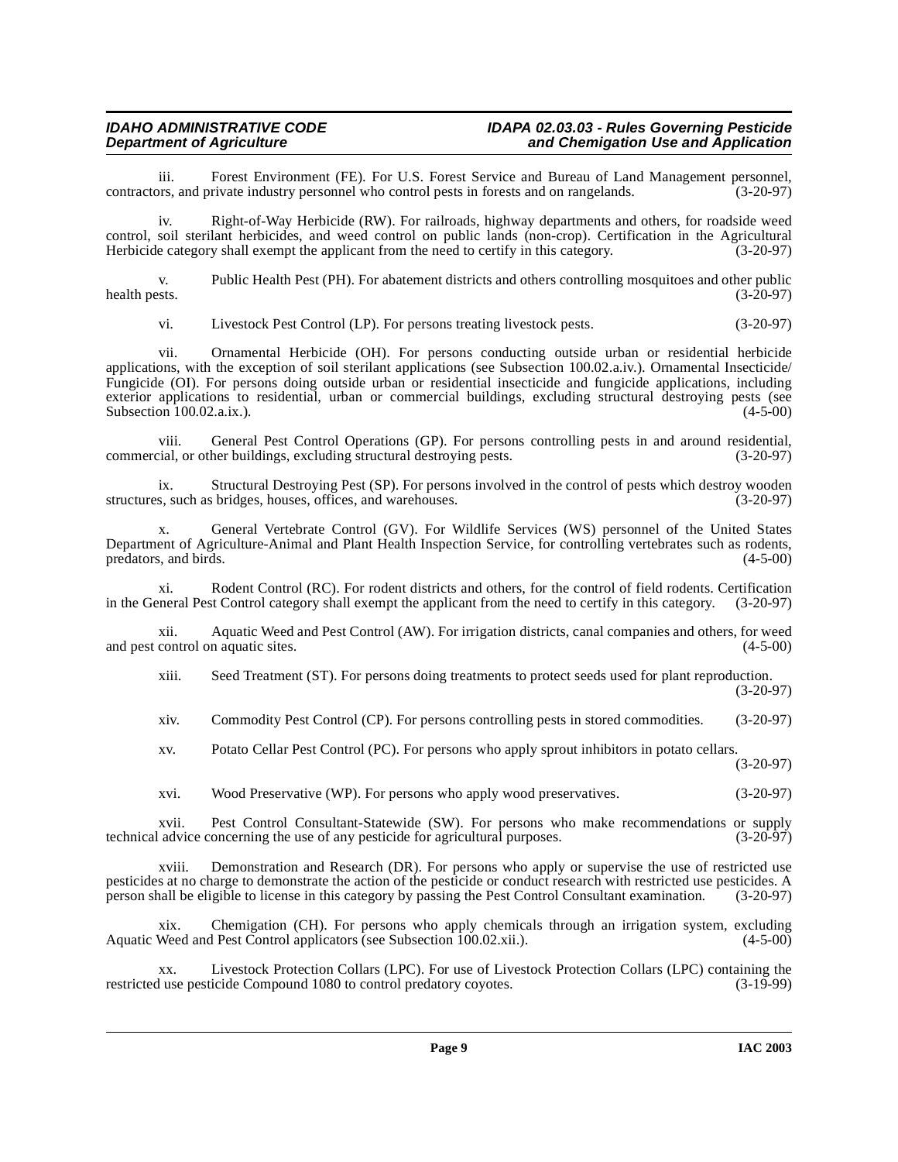iii. Forest Environment (FE). For U.S. Forest Service and Bureau of Land Management personnel, prs, and private industry personnel who control pests in forests and on rangelands. (3-20-97) contractors, and private industry personnel who control pests in forests and on rangelands.

iv. Right-of-Way Herbicide (RW). For railroads, highway departments and others, for roadside weed control, soil sterilant herbicides, and weed control on public lands (non-crop). Certification in the Agricultural Herbicide category shall exempt the applicant from the need to certify in this category. (3-20-97)

v. Public Health Pest (PH). For abatement districts and others controlling mosquitoes and other public health pests. (3-20-97) health pests. (3-20-97)

vi. Livestock Pest Control (LP). For persons treating livestock pests. (3-20-97)

vii. Ornamental Herbicide (OH). For persons conducting outside urban or residential herbicide applications, with the exception of soil sterilant applications (see Subsection 100.02.a.iv.). Ornamental Insecticide/ Fungicide (OI). For persons doing outside urban or residential insecticide and fungicide applications, including exterior applications to residential, urban or commercial buildings, excluding structural destroying pests (see Subsection 100.02.a.ix.). (4-5-00)

viii. General Pest Control Operations (GP). For persons controlling pests in and around residential, commercial, or other buildings, excluding structural destroying pests. (3-20-97)

ix. Structural Destroying Pest (SP). For persons involved in the control of pests which destroy wooden s, such as bridges, houses, offices, and warehouses. (3-20-97) structures, such as bridges, houses, offices, and warehouses.

x. General Vertebrate Control (GV). For Wildlife Services (WS) personnel of the United States Department of Agriculture-Animal and Plant Health Inspection Service, for controlling vertebrates such as rodents, predators, and birds.

xi. Rodent Control (RC). For rodent districts and others, for the control of field rodents. Certification in the General Pest Control category shall exempt the applicant from the need to certify in this category. (3-20-97)

xii. Aquatic Weed and Pest Control (AW). For irrigation districts, canal companies and others, for weed and pest control on aquatic sites.

xiii. Seed Treatment (ST). For persons doing treatments to protect seeds used for plant reproduction. (3-20-97)

xiv. Commodity Pest Control (CP). For persons controlling pests in stored commodities. (3-20-97)

xv. Potato Cellar Pest Control (PC). For persons who apply sprout inhibitors in potato cellars. (3-20-97)

xvi. Wood Preservative (WP). For persons who apply wood preservatives. (3-20-97)

xvii. Pest Control Consultant-Statewide (SW). For persons who make recommendations or supply<br>advice concerning the use of any pesticide for agricultural purposes. (3-20-97) technical advice concerning the use of any pesticide for agricultural purposes.

xviii. Demonstration and Research (DR). For persons who apply or supervise the use of restricted use pesticides at no charge to demonstrate the action of the pesticide or conduct research with restricted use pesticides. A person shall be eligible to license in this category by passing the Pest Control Consultant examination. (3-20-97)

xix. Chemigation (CH). For persons who apply chemicals through an irrigation system, excluding Aquatic Weed and Pest Control applicators (see Subsection 100.02.xii.). (4-5-00)

xx. Livestock Protection Collars (LPC). For use of Livestock Protection Collars (LPC) containing the restricted use pesticide Compound 1080 to control predatory coyotes.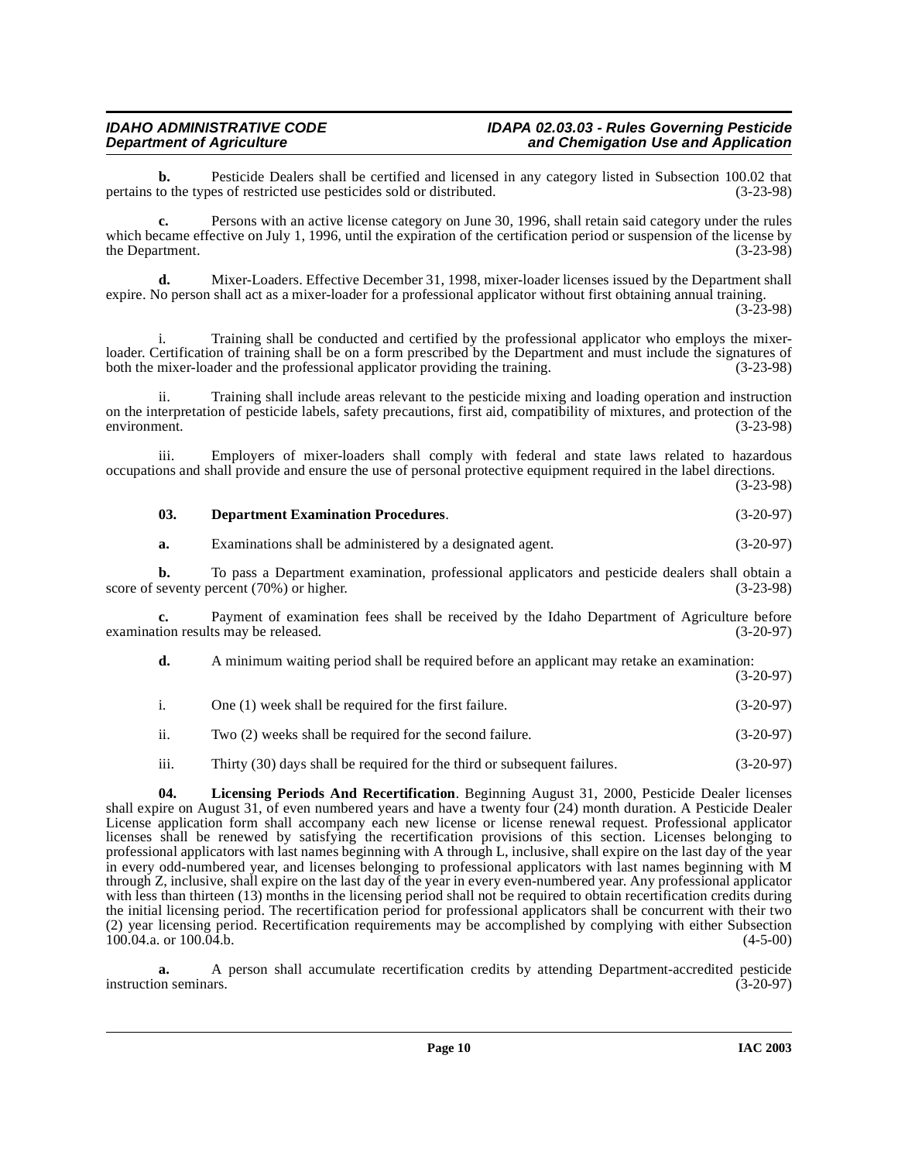**b.** Pesticide Dealers shall be certified and licensed in any category listed in Subsection 100.02 that to the types of restricted use pesticides sold or distributed. (3-23-98) pertains to the types of restricted use pesticides sold or distributed.

**c.** Persons with an active license category on June 30, 1996, shall retain said category under the rules which became effective on July 1, 1996, until the expiration of the certification period or suspension of the license by the Department. (3-23-98) the Department.

**d.** Mixer-Loaders. Effective December 31, 1998, mixer-loader licenses issued by the Department shall expire. No person shall act as a mixer-loader for a professional applicator without first obtaining annual training.  $(3-23-98)$ 

i. Training shall be conducted and certified by the professional applicator who employs the mixerloader. Certification of training shall be on a form prescribed by the Department and must include the signatures of both the mixer-loader and the professional applicator providing the training. (3-23-98)

ii. Training shall include areas relevant to the pesticide mixing and loading operation and instruction on the interpretation of pesticide labels, safety precautions, first aid, compatibility of mixtures, and protection of the environment. (3-23-98) environment. (3-23-98)

iii. Employers of mixer-loaders shall comply with federal and state laws related to hazardous occupations and shall provide and ensure the use of personal protective equipment required in the label directions. (3-23-98)

<span id="page-9-0"></span>

| 03. | <b>Department Examination Procedures.</b> | $(3-20-97)$ |
|-----|-------------------------------------------|-------------|

**a.** Examinations shall be administered by a designated agent. (3-20-97)

**b.** To pass a Department examination, professional applicators and pesticide dealers shall obtain a seventy percent (70%) or higher. (3-23-98) score of seventy percent  $(70%)$  or higher.

**c.** Payment of examination fees shall be received by the Idaho Department of Agriculture before tion results may be released. (3-20-97) examination results may be released.

**d.** A minimum waiting period shall be required before an applicant may retake an examination:

- (3-20-97)
- i. One (1) week shall be required for the first failure. (3-20-97)
- ii. Two (2) weeks shall be required for the second failure. (3-20-97)
- <span id="page-9-1"></span>iii. Thirty (30) days shall be required for the third or subsequent failures. (3-20-97)

**04. Licensing Periods And Recertification**. Beginning August 31, 2000, Pesticide Dealer licenses shall expire on August 31, of even numbered years and have a twenty four (24) month duration. A Pesticide Dealer License application form shall accompany each new license or license renewal request. Professional applicator licenses shall be renewed by satisfying the recertification provisions of this section. Licenses belonging to professional applicators with last names beginning with A through L, inclusive, shall expire on the last day of the year in every odd-numbered year, and licenses belonging to professional applicators with last names beginning with M through Z, inclusive, shall expire on the last day of the year in every even-numbered year. Any professional applicator with less than thirteen (13) months in the licensing period shall not be required to obtain recertification credits during the initial licensing period. The recertification period for professional applicators shall be concurrent with their two (2) year licensing period. Recertification requirements may be accomplished by complying with either Subsection 100.04.a. or 100.04.b. (4-5-00)

**a.** A person shall accumulate recertification credits by attending Department-accredited pesticide on seminars. (3-20-97) instruction seminars.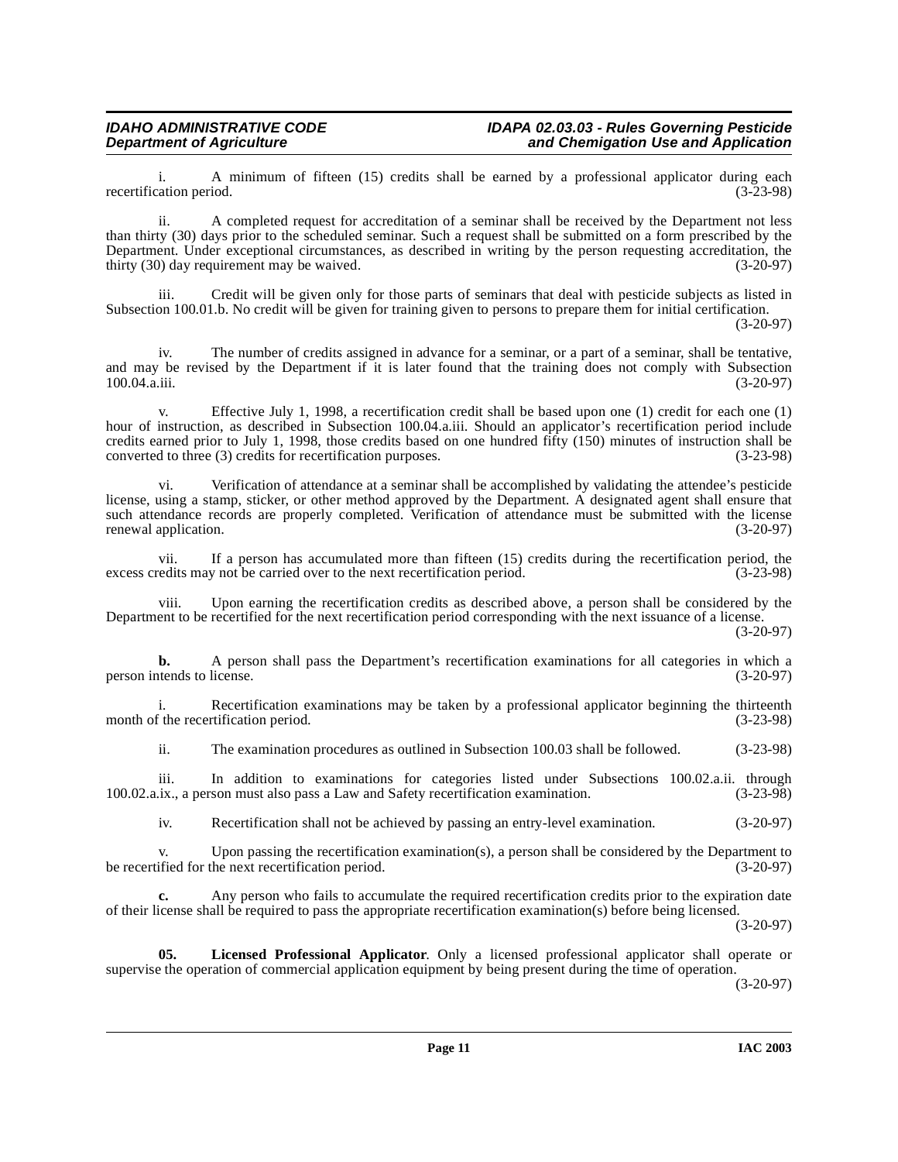i. A minimum of fifteen (15) credits shall be earned by a professional applicator during each cation period. (3-23-98) recertification period.

ii. A completed request for accreditation of a seminar shall be received by the Department not less than thirty (30) days prior to the scheduled seminar. Such a request shall be submitted on a form prescribed by the Department. Under exceptional circumstances, as described in writing by the person requesting accreditation, the thirty (30) day requirement may be waived. (3-20-97) thirty  $(30)$  day requirement may be waived.

iii. Credit will be given only for those parts of seminars that deal with pesticide subjects as listed in Subsection 100.01.b. No credit will be given for training given to persons to prepare them for initial certification.

(3-20-97)

iv. The number of credits assigned in advance for a seminar, or a part of a seminar, shall be tentative, and may be revised by the Department if it is later found that the training does not comply with Subsection 100.04.a.iii. (3-20-97)

v. Effective July 1, 1998, a recertification credit shall be based upon one (1) credit for each one (1) hour of instruction, as described in Subsection 100.04.a.iii. Should an applicator's recertification period include credits earned prior to July 1, 1998, those credits based on one hundred fifty (150) minutes of instruction shall be converted to three (3) credits for recertification purposes. (3-23-98)

vi. Verification of attendance at a seminar shall be accomplished by validating the attendee's pesticide license, using a stamp, sticker, or other method approved by the Department. A designated agent shall ensure that such attendance records are properly completed. Verification of attendance must be submitted with the license renewal application. (3-20-97)

vii. If a person has accumulated more than fifteen (15) credits during the recertification period, the redits may not be carried over to the next recertification period. (3-23-98) excess credits may not be carried over to the next recertification period.

viii. Upon earning the recertification credits as described above, a person shall be considered by the Department to be recertified for the next recertification period corresponding with the next issuance of a license.

(3-20-97)

**b.** A person shall pass the Department's recertification examinations for all categories in which a tends to license. (3-20-97) person intends to license.

i. Recertification examinations may be taken by a professional applicator beginning the thirteenth (3-23-98) (3-23-98) month of the recertification period.

ii. The examination procedures as outlined in Subsection 100.03 shall be followed. (3-23-98)

iii. In addition to examinations for categories listed under Subsections 100.02.a.ii. through i.x., a person must also pass a Law and Safety recertification examination. (3-23-98) 100.02.a.ix., a person must also pass a Law and Safety recertification examination.

iv. Recertification shall not be achieved by passing an entry-level examination. (3-20-97)

v. Upon passing the recertification examination(s), a person shall be considered by the Department to be recertified for the next recertification period. (3-20-97)

**c.** Any person who fails to accumulate the required recertification credits prior to the expiration date of their license shall be required to pass the appropriate recertification examination(s) before being licensed.

(3-20-97)

<span id="page-10-0"></span>**05. Licensed Professional Applicator**. Only a licensed professional applicator shall operate or supervise the operation of commercial application equipment by being present during the time of operation.

(3-20-97)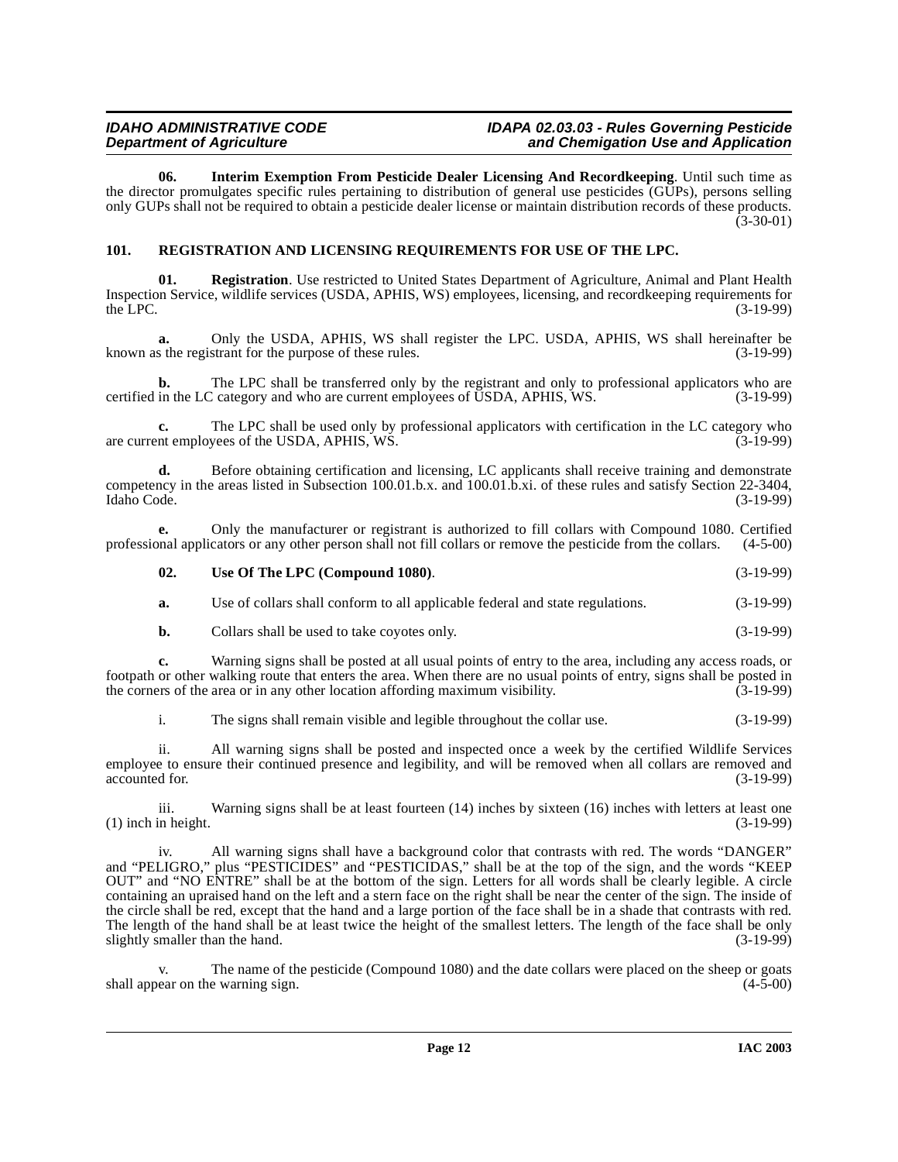<span id="page-11-1"></span>**06. Interim Exemption From Pesticide Dealer Licensing And Recordkeeping**. Until such time as the director promulgates specific rules pertaining to distribution of general use pesticides (GUPs), persons selling only GUPs shall not be required to obtain a pesticide dealer license or maintain distribution records of these products. (3-30-01)

## <span id="page-11-2"></span><span id="page-11-0"></span>**101. REGISTRATION AND LICENSING REQUIREMENTS FOR USE OF THE LPC.**

<span id="page-11-3"></span>**01. Registration**. Use restricted to United States Department of Agriculture, Animal and Plant Health Inspection Service, wildlife services (USDA, APHIS, WS) employees, licensing, and recordkeeping requirements for the LPC.  $(3-19-99)$ 

**a.** Only the USDA, APHIS, WS shall register the LPC. USDA, APHIS, WS shall hereinafter be s the registrant for the purpose of these rules. (3-19-99) known as the registrant for the purpose of these rules.

**b.** The LPC shall be transferred only by the registrant and only to professional applicators who are in the LC category and who are current employees of USDA, APHIS, WS. (3-19-99) certified in the LC category and who are current employees of USDA, APHIS, WS.

**c.** The LPC shall be used only by professional applicators with certification in the LC category who are current employees of the USDA, APHIS, WS. (3-19-99)

**d.** Before obtaining certification and licensing, LC applicants shall receive training and demonstrate competency in the areas listed in Subsection 100.01.b.x. and 100.01.b.xi. of these rules and satisfy Section 22-3404, Idaho Code. (3-19-99) Idaho Code. (3-19-99)

**e.** Only the manufacturer or registrant is authorized to fill collars with Compound 1080. Certified professional applicators or any other person shall not fill collars or remove the pesticide from the collars. (4-5-00)

### <span id="page-11-4"></span>**02. Use Of The LPC (Compound 1080)**. (3-19-99)

**a.** Use of collars shall conform to all applicable federal and state regulations. (3-19-99)

**b.** Collars shall be used to take coyotes only. (3-19-99)

**c.** Warning signs shall be posted at all usual points of entry to the area, including any access roads, or footpath or other walking route that enters the area. When there are no usual points of entry, signs shall be posted in the corners of the area or in any other location affording maximum visibility.

i. The signs shall remain visible and legible throughout the collar use. (3-19-99)

ii. All warning signs shall be posted and inspected once a week by the certified Wildlife Services employee to ensure their continued presence and legibility, and will be removed when all collars are removed and accounted for. (3-19-99) accounted for. (3-19-99)

iii. Warning signs shall be at least fourteen (14) inches by sixteen (16) inches with letters at least one in height. (3-19-99)  $(1)$  inch in height.

iv. All warning signs shall have a background color that contrasts with red. The words "DANGER" and "PELIGRO," plus "PESTICIDES" and "PESTICIDAS," shall be at the top of the sign, and the words "KEEP OUT" and "NO ENTRE" shall be at the bottom of the sign. Letters for all words shall be clearly legible. A circle containing an upraised hand on the left and a stern face on the right shall be near the center of the sign. The inside of the circle shall be red, except that the hand and a large portion of the face shall be in a shade that contrasts with red. The length of the hand shall be at least twice the height of the smallest letters. The length of the face shall be only slightly smaller than the hand. (3-19-99)

v. The name of the pesticide (Compound 1080) and the date collars were placed on the sheep or goats ear on the warning sign. (4-5-00) shall appear on the warning sign.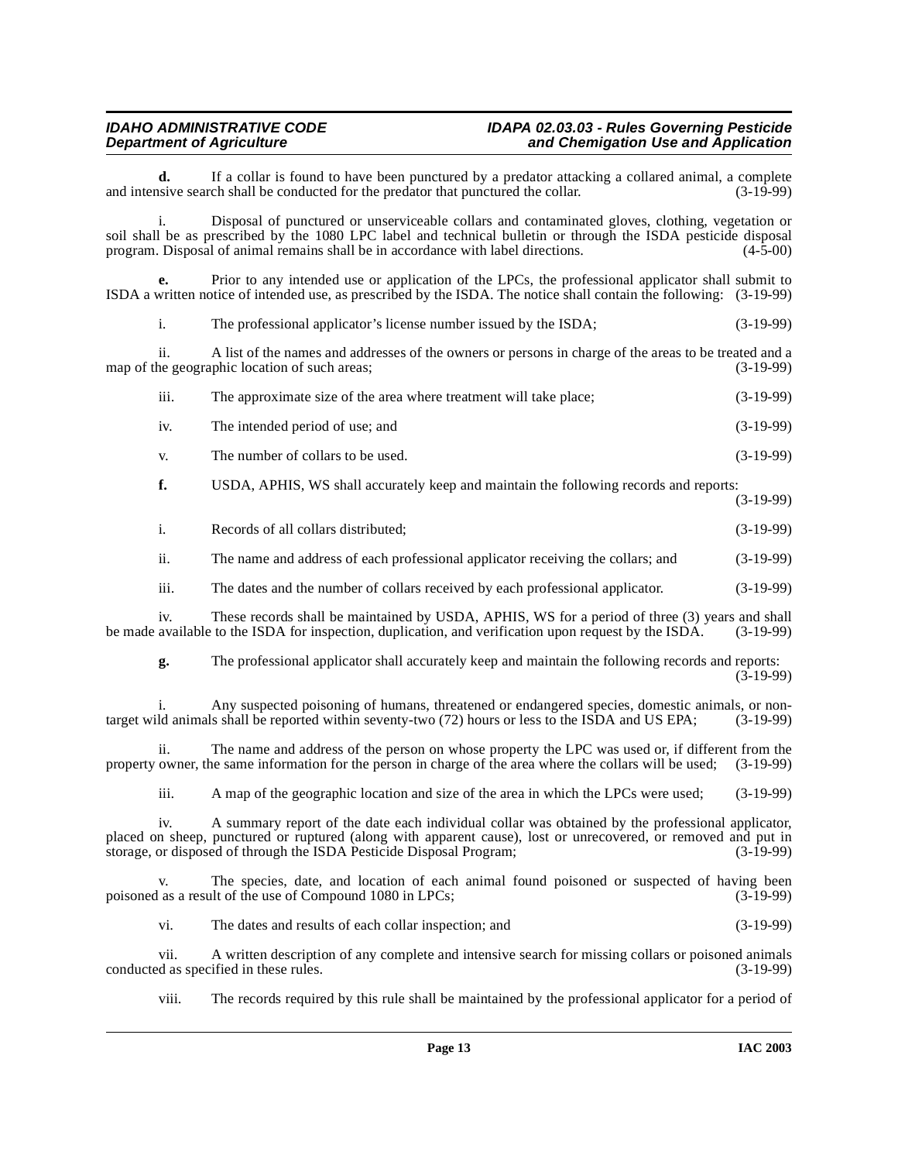**d.** If a collar is found to have been punctured by a predator attacking a collared animal, a complete is usive search shall be conducted for the predator that punctured the collar. (3-19-99) and intensive search shall be conducted for the predator that punctured the collar.

i. Disposal of punctured or unserviceable collars and contaminated gloves, clothing, vegetation or soil shall be as prescribed by the 1080 LPC label and technical bulletin or through the ISDA pesticide disposal program. Disposal of animal remains shall be in accordance with label directions. (4-5-00) program. Disposal of animal remains shall be in accordance with label directions.

**e.** Prior to any intended use or application of the LPCs, the professional applicator shall submit to ISDA a written notice of intended use, as prescribed by the ISDA. The notice shall contain the following: (3-19-99)

| The professional applicator's license number issued by the ISDA;                                      | $(3-19-99)$ |
|-------------------------------------------------------------------------------------------------------|-------------|
| A list of the names and addresses of the owners or persons in charge of the areas to be treated and a |             |
| map of the geographic location of such areas;                                                         | $(3-19-99)$ |

| iii. | The approximate size of the area where treatment will take place; | $(3-19-99)$ |
|------|-------------------------------------------------------------------|-------------|
|      |                                                                   |             |

- iv. The intended period of use; and (3-19-99)
- v. The number of collars to be used.  $(3-19-99)$

**f.** USDA, APHIS, WS shall accurately keep and maintain the following records and reports: (3-19-99)

| Records of all collars distributed; | $(3-19-99)$ |
|-------------------------------------|-------------|
|                                     |             |

ii. The name and address of each professional applicator receiving the collars; and (3-19-99)

iii. The dates and the number of collars received by each professional applicator. (3-19-99)

iv. These records shall be maintained by USDA, APHIS, WS for a period of three (3) years and shall available to the ISDA for inspection, duplication, and verification upon request by the ISDA. (3-19-99) be made available to the ISDA for inspection, duplication, and verification upon request by the ISDA.

**g.** The professional applicator shall accurately keep and maintain the following records and reports:  $(3-19-99)$ 

i. Any suspected poisoning of humans, threatened or endangered species, domestic animals, or non-<br>Id animals shall be reported within seventy-two (72) hours or less to the ISDA and US EPA; (3-19-99) target wild animals shall be reported within seventy-two (72) hours or less to the ISDA and US EPA;

ii. The name and address of the person on whose property the LPC was used or, if different from the owner, the same information for the person in charge of the area where the collars will be used; (3-19-99) property owner, the same information for the person in charge of the area where the collars will be used;

iii. A map of the geographic location and size of the area in which the LPCs were used; (3-19-99)

iv. A summary report of the date each individual collar was obtained by the professional applicator, placed on sheep, punctured or ruptured (along with apparent cause), lost or unrecovered, or removed and put in storage, or disposed of through the ISDA Pesticide Disposal Program: (3-19-99) storage, or disposed of through the ISDA Pesticide Disposal Program;

v. The species, date, and location of each animal found poisoned or suspected of having been<br>as a result of the use of Compound 1080 in LPCs; (3-19-99) poisoned as a result of the use of Compound 1080 in LPCs;

vi. The dates and results of each collar inspection; and (3-19-99)

vii. A written description of any complete and intensive search for missing collars or poisoned animals d as specified in these rules. (3-19-99) conducted as specified in these rules.

viii. The records required by this rule shall be maintained by the professional applicator for a period of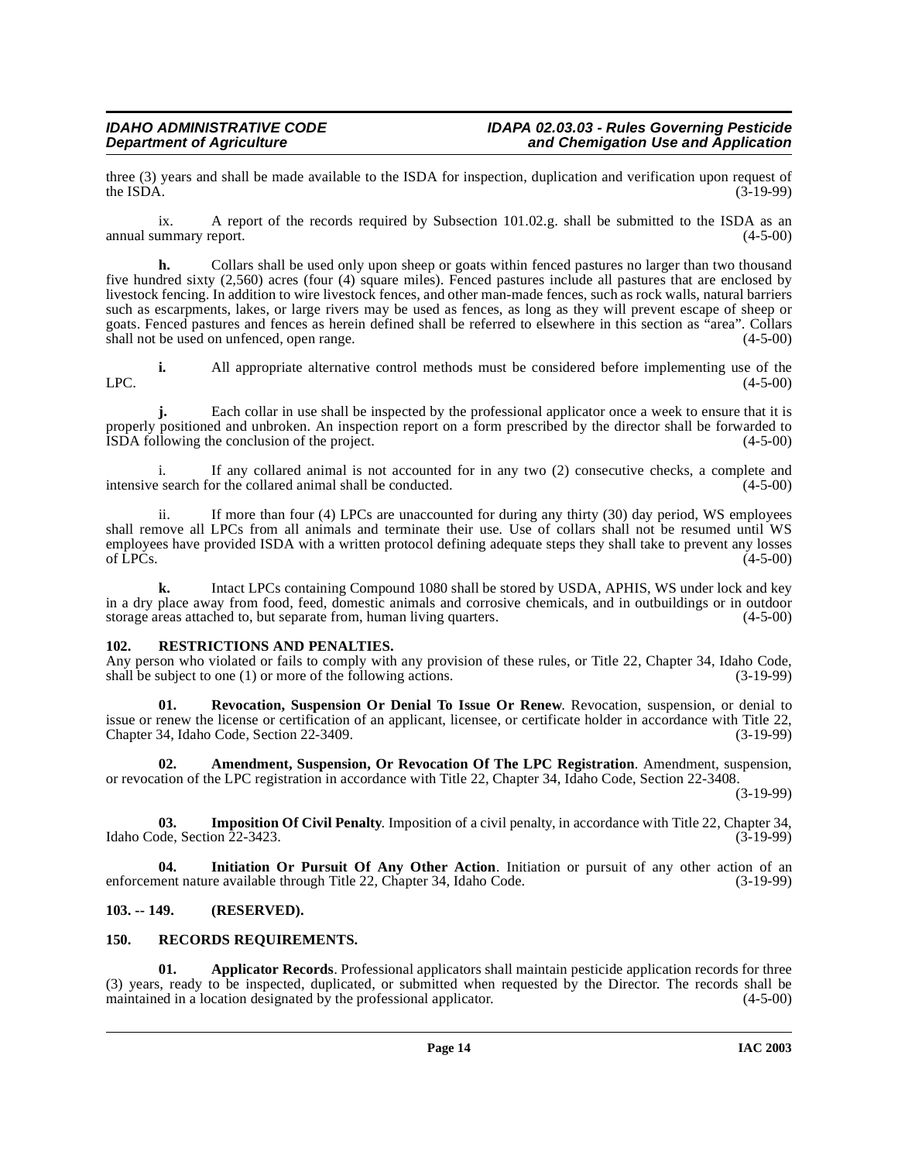three (3) years and shall be made available to the ISDA for inspection, duplication and verification upon request of the ISDA. (3-19-99) the ISDA.  $(3-19-99)$ 

ix. A report of the records required by Subsection 101.02.g. shall be submitted to the ISDA as an annual summary report. (4-5-00)

**h.** Collars shall be used only upon sheep or goats within fenced pastures no larger than two thousand five hundred sixty (2,560) acres (four (4) square miles). Fenced pastures include all pastures that are enclosed by livestock fencing. In addition to wire livestock fences, and other man-made fences, such as rock walls, natural barriers such as escarpments, lakes, or large rivers may be used as fences, as long as they will prevent escape of sheep or goats. Fenced pastures and fences as herein defined shall be referred to elsewhere in this section as "area". Collars shall not be used on unfenced, open range. shall not be used on unfenced, open range.

**i.** All appropriate alternative control methods must be considered before implementing use of the  $LPC.$  (4-5-00)

**j.** Each collar in use shall be inspected by the professional applicator once a week to ensure that it is properly positioned and unbroken. An inspection report on a form prescribed by the director shall be forwarded to ISDA following the conclusion of the project. (4-5-00)

i. If any collared animal is not accounted for in any two  $(2)$  consecutive checks, a complete and  $(4-5-00)$ intensive search for the collared animal shall be conducted.

ii. If more than four (4) LPCs are unaccounted for during any thirty (30) day period, WS employees shall remove all LPCs from all animals and terminate their use. Use of collars shall not be resumed until WS employees have provided ISDA with a written protocol defining adequate steps they shall take to prevent any losses of LPCs. (4-5-00) of LPCs.  $(4-5-00)$ 

**k.** Intact LPCs containing Compound 1080 shall be stored by USDA, APHIS, WS under lock and key in a dry place away from food, feed, domestic animals and corrosive chemicals, and in outbuildings or in outdoor storage areas attached to, but separate from, human living quarters. (4-5-00) storage areas attached to, but separate from, human living quarters.

### <span id="page-13-7"></span><span id="page-13-0"></span>**102. RESTRICTIONS AND PENALTIES.**

Any person who violated or fails to comply with any provision of these rules, or Title 22, Chapter 34, Idaho Code, shall be subject to one (1) or more of the following actions. (3-19-99) shall be subject to one  $(1)$  or more of the following actions.

<span id="page-13-8"></span>**Revocation, Suspension Or Denial To Issue Or Renew.** Revocation, suspension, or denial to issue or renew the license or certification of an applicant, licensee, or certificate holder in accordance with Title 22, Chapter 34, Idaho Code, Section 22-3409. (3-19-99)

<span id="page-13-3"></span>**02. Amendment, Suspension, Or Revocation Of The LPC Registration**. Amendment, suspension, or revocation of the LPC registration in accordance with Title 22, Chapter 34, Idaho Code, Section 22-3408.

(3-19-99)

<span id="page-13-5"></span>**03. Imposition Of Civil Penalty**. Imposition of a civil penalty, in accordance with Title 22, Chapter 34, ode. Section 22-3423. Idaho Code, Section 22-3423.

**04. Initiation Or Pursuit Of Any Other Action**. Initiation or pursuit of any other action of an enforcement nature available through Title 22, Chapter 34, Idaho Code. (3-19-99)

# <span id="page-13-1"></span>**103. -- 149. (RESERVED).**

# <span id="page-13-6"></span><span id="page-13-2"></span>**150. RECORDS REQUIREMENTS.**

<span id="page-13-4"></span>**01. Applicator Records**. Professional applicators shall maintain pesticide application records for three (3) years, ready to be inspected, duplicated, or submitted when requested by the Director. The records shall be maintained in a location designated by the professional applicator. (4-5-00) maintained in a location designated by the professional applicator.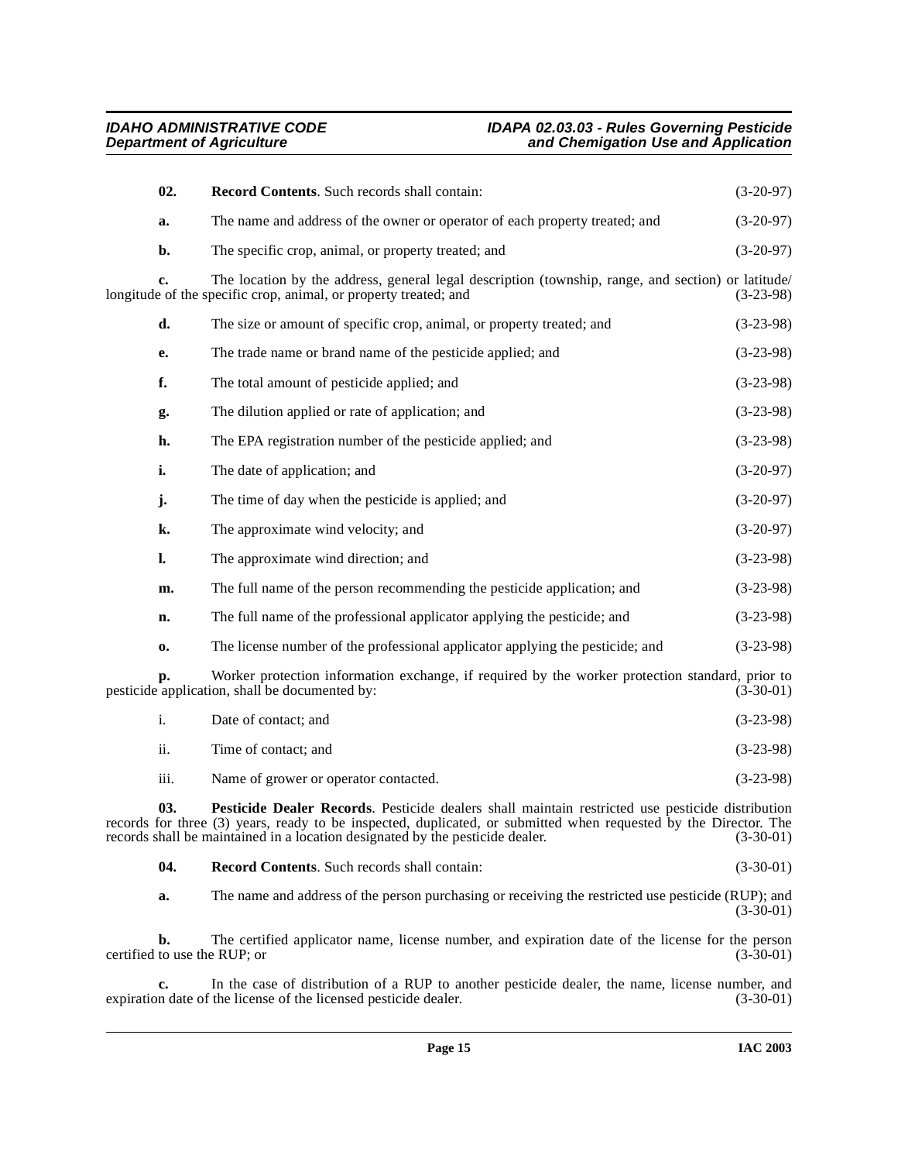<span id="page-14-1"></span>

| 02.            | Record Contents. Such records shall contain:                                                                                                                           | $(3-20-97)$ |
|----------------|------------------------------------------------------------------------------------------------------------------------------------------------------------------------|-------------|
| a.             | The name and address of the owner or operator of each property treated; and                                                                                            | $(3-20-97)$ |
| b.             | The specific crop, animal, or property treated; and                                                                                                                    | $(3-20-97)$ |
| c.             | The location by the address, general legal description (township, range, and section) or latitude/<br>longitude of the specific crop, animal, or property treated; and | $(3-23-98)$ |
| d.             | The size or amount of specific crop, animal, or property treated; and                                                                                                  | $(3-23-98)$ |
| e.             | The trade name or brand name of the pesticide applied; and                                                                                                             | $(3-23-98)$ |
| f.             | The total amount of pesticide applied; and                                                                                                                             | $(3-23-98)$ |
| g.             | The dilution applied or rate of application; and                                                                                                                       | $(3-23-98)$ |
| h.             | The EPA registration number of the pesticide applied; and                                                                                                              | $(3-23-98)$ |
| i.             | The date of application; and                                                                                                                                           | $(3-20-97)$ |
| j.             | The time of day when the pesticide is applied; and                                                                                                                     | $(3-20-97)$ |
| k.             | The approximate wind velocity; and                                                                                                                                     | $(3-20-97)$ |
| $\mathbf{l}$ . | The approximate wind direction; and                                                                                                                                    | $(3-23-98)$ |
| m.             | The full name of the person recommending the pesticide application; and                                                                                                | $(3-23-98)$ |
| n.             | The full name of the professional applicator applying the pesticide; and                                                                                               | $(3-23-98)$ |
| 0.             | The license number of the professional applicator applying the pesticide; and                                                                                          | $(3-23-98)$ |
| p.             | Worker protection information exchange, if required by the worker protection standard, prior to<br>pesticide application, shall be documented by:                      | $(3-30-01)$ |
| i.             | Date of contact; and                                                                                                                                                   | $(3-23-98)$ |
| ii.            | Time of contact; and                                                                                                                                                   | $(3-23-98)$ |
|                |                                                                                                                                                                        |             |

<span id="page-14-0"></span>iii. Name of grower or operator contacted. (3-23-98)

**03. Pesticide Dealer Records**. Pesticide dealers shall maintain restricted use pesticide distribution records for three (3) years, ready to be inspected, duplicated, or submitted when requested by the Director. The records shall be maintained in a location designated by the pesticide dealer. (3-30-01) records shall be maintained in a location designated by the pesticide dealer.

<span id="page-14-2"></span>**04. Record Contents**. Such records shall contain: (3-30-01)

**a.** The name and address of the person purchasing or receiving the restricted use pesticide (RUP); and  $(3-30-01)$ 

**b.** The certified applicator name, license number, and expiration date of the license for the person to use the RUP; or (3-30-01) certified to use the RUP; or

**c.** In the case of distribution of a RUP to another pesticide dealer, the name, license number, and n date of the license of the licensed pesticide dealer. (3-30-01) expiration date of the license of the licensed pesticide dealer.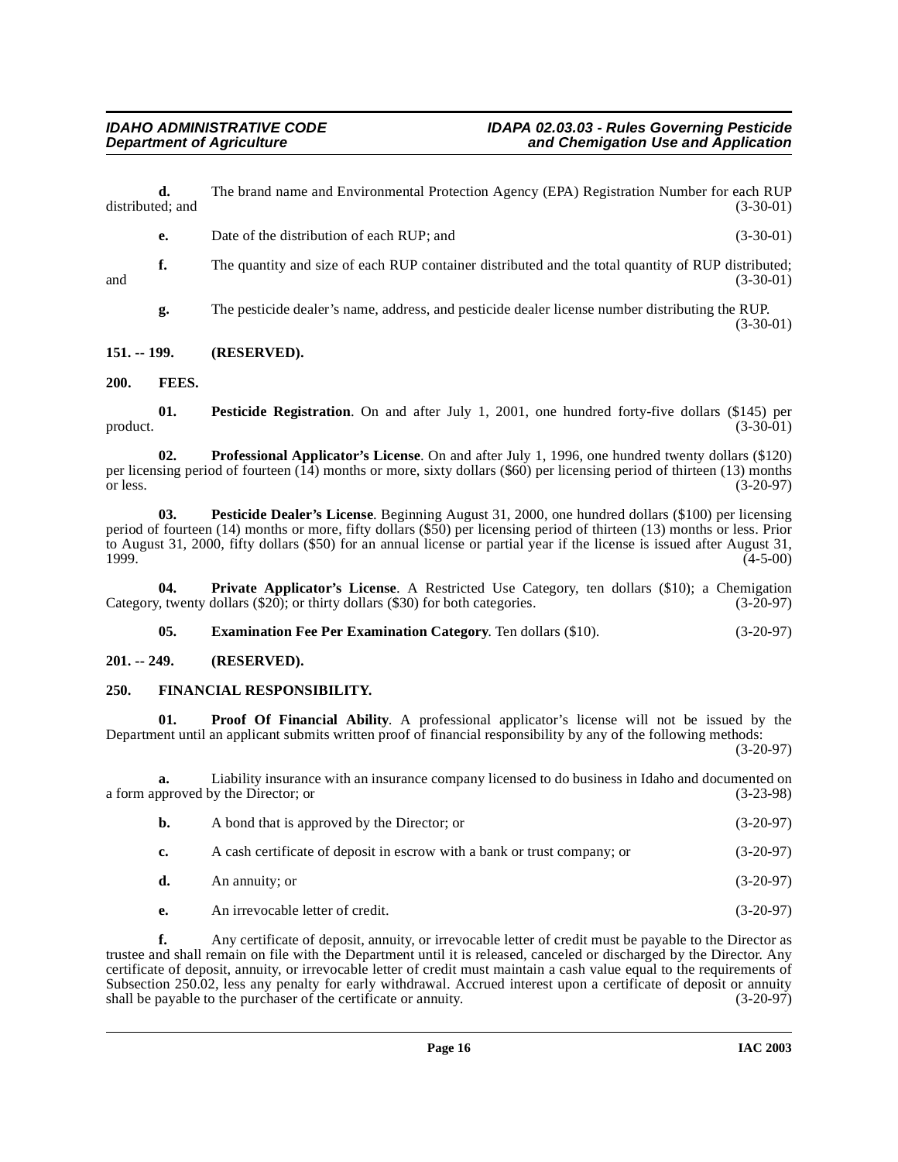**d.** The brand name and Environmental Protection Agency (EPA) Registration Number for each RUP distributed; and (3-30-01) (3-30-01)

- **e.** Date of the distribution of each RUP; and (3-30-01)
- **f.** The quantity and size of each RUP container distributed and the total quantity of RUP distributed; (3-30-01)  $(3-30-01)$

<span id="page-15-8"></span>**g.** The pesticide dealer's name, address, and pesticide dealer license number distributing the RUP. (3-30-01)

#### <span id="page-15-0"></span>**151. -- 199. (RESERVED).**

<span id="page-15-5"></span><span id="page-15-1"></span>**200. FEES.**

**01.** Pesticide Registration. On and after July 1, 2001, one hundred forty-five dollars (\$145) per (3-30-01)  $\text{product.}$  (3-30-01)

<span id="page-15-10"></span>**02. Professional Applicator's License**. On and after July 1, 1996, one hundred twenty dollars (\$120) per licensing period of fourteen  $(14)$  months or more, sixty dollars (\$60) per licensing period of thirteen (13) months or less. (3-20-97) or less.  $(3-20-97)$ 

<span id="page-15-7"></span>**03. Pesticide Dealer's License**. Beginning August 31, 2000, one hundred dollars (\$100) per licensing period of fourteen (14) months or more, fifty dollars (\$50) per licensing period of thirteen (13) months or less. Prior to August 31, 2000, fifty dollars (\$50) for an annual license or partial year if the license is issued after August 31,  $(4-5-00)$ 

**04. Private Applicator's License**. A Restricted Use Category, ten dollars (\$10); a Chemigation Category, twenty dollars (\$20); or thirty dollars (\$30) for both categories. (3-20-97)

<span id="page-15-11"></span><span id="page-15-9"></span><span id="page-15-6"></span><span id="page-15-4"></span>**05. Examination Fee Per Examination Category**. Ten dollars (\$10). (3-20-97)

<span id="page-15-2"></span>**201. -- 249. (RESERVED).**

### <span id="page-15-3"></span>**250. FINANCIAL RESPONSIBILITY.**

**01. Proof Of Financial Ability**. A professional applicator's license will not be issued by the Department until an applicant submits written proof of financial responsibility by any of the following methods: (3-20-97)

**a.** Liability insurance with an insurance company licensed to do business in Idaho and documented on a form approved by the Director; or (3-23-98)

| b. | A bond that is approved by the Director; or                              | $(3-20-97)$ |
|----|--------------------------------------------------------------------------|-------------|
| c. | A cash certificate of deposit in escrow with a bank or trust company; or | $(3-20-97)$ |
| d. | An annuity; or                                                           | $(3-20-97)$ |
| e. | An irrevocable letter of credit.                                         | $(3-20-97)$ |

**f.** Any certificate of deposit, annuity, or irrevocable letter of credit must be payable to the Director as trustee and shall remain on file with the Department until it is released, canceled or discharged by the Director. Any certificate of deposit, annuity, or irrevocable letter of credit must maintain a cash value equal to the requirements of Subsection 250.02, less any penalty for early withdrawal. Accrued interest upon a certificate of deposit or annuity shall be payable to the purchaser of the certificate or annuity. (3-20-97) shall be payable to the purchaser of the certificate or annuity.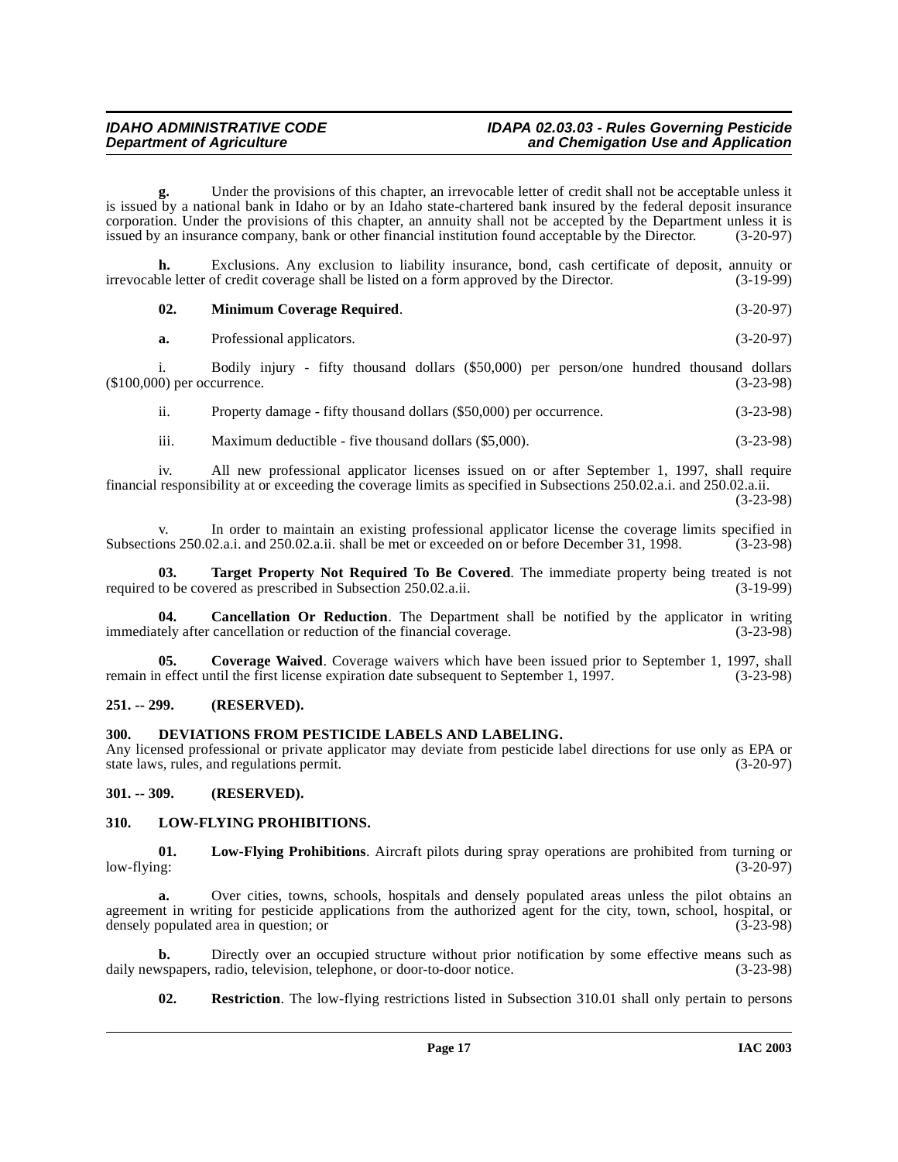Under the provisions of this chapter, an irrevocable letter of credit shall not be acceptable unless it is issued by a national bank in Idaho or by an Idaho state-chartered bank insured by the federal deposit insurance corporation. Under the provisions of this chapter, an annuity shall not be accepted by the Department unless it is issued by an insurance company, bank or other financial institution found acceptable by the Director. (3-20-97)

**h.** Exclusions. Any exclusion to liability insurance, bond, cash certificate of deposit, annuity or ble letter of credit coverage shall be listed on a form approved by the Director. (3-19-99) irrevocable letter of credit coverage shall be listed on a form approved by the Director.

<span id="page-16-6"></span>**02. Minimum Coverage Required**. (3-20-97)

**a.** Professional applicators. (3-20-97)

i. Bodily injury - fifty thousand dollars (\$50,000) per person/one hundred thousand dollars (\$100,000) per occurrence. (3-23-98)

ii. Property damage - fifty thousand dollars (\$50,000) per occurrence. (3-23-98)

iii. Maximum deductible - five thousand dollars (\$5,000). (3-23-98)

iv. All new professional applicator licenses issued on or after September 1, 1997, shall require financial responsibility at or exceeding the coverage limits as specified in Subsections 250.02.a.i. and 250.02.a.ii.

(3-23-98)

v. In order to maintain an existing professional applicator license the coverage limits specified in Subsections 250.02.a.i. and 250.02.a.ii. shall be met or exceeded on or before December 31, 1998. (3-23-98)

**03. Target Property Not Required To Be Covered**. The immediate property being treated is not to be covered as prescribed in Subsection 250.02.a.ii. (3-19-99) required to be covered as prescribed in Subsection 250.02.a.ii.

**Cancellation Or Reduction**. The Department shall be notified by the applicator in writing cancellation or reduction of the financial coverage. (3-23-98) immediately after cancellation or reduction of the financial coverage.

**05. Coverage Waived**. Coverage waivers which have been issued prior to September 1, 1997, shall in effect until the first license expiration date subsequent to September 1, 1997. (3-23-98) remain in effect until the first license expiration date subsequent to September 1, 1997.

#### <span id="page-16-0"></span>**251. -- 299. (RESERVED).**

#### <span id="page-16-4"></span><span id="page-16-1"></span>**300. DEVIATIONS FROM PESTICIDE LABELS AND LABELING.**

Any licensed professional or private applicator may deviate from pesticide label directions for use only as EPA or state laws, rules, and regulations permit. (3-20-97) state laws, rules, and regulations permit.

<span id="page-16-2"></span>**301. -- 309. (RESERVED).**

### <span id="page-16-5"></span><span id="page-16-3"></span>**310. LOW-FLYING PROHIBITIONS.**

**01. Low-Flying Prohibitions**. Aircraft pilots during spray operations are prohibited from turning or low-flying: (3-20-97)

Over cities, towns, schools, hospitals and densely populated areas unless the pilot obtains an agreement in writing for pesticide applications from the authorized agent for the city, town, school, hospital, or densely populated area in question; or (3-23-98)

**b.** Directly over an occupied structure without prior notification by some effective means such as wspapers, radio, television, telephone, or door-to-door notice. (3-23-98) daily newspapers, radio, television, telephone, or door-to-door notice.

<span id="page-16-7"></span>**02. Restriction**. The low-flying restrictions listed in Subsection 310.01 shall only pertain to persons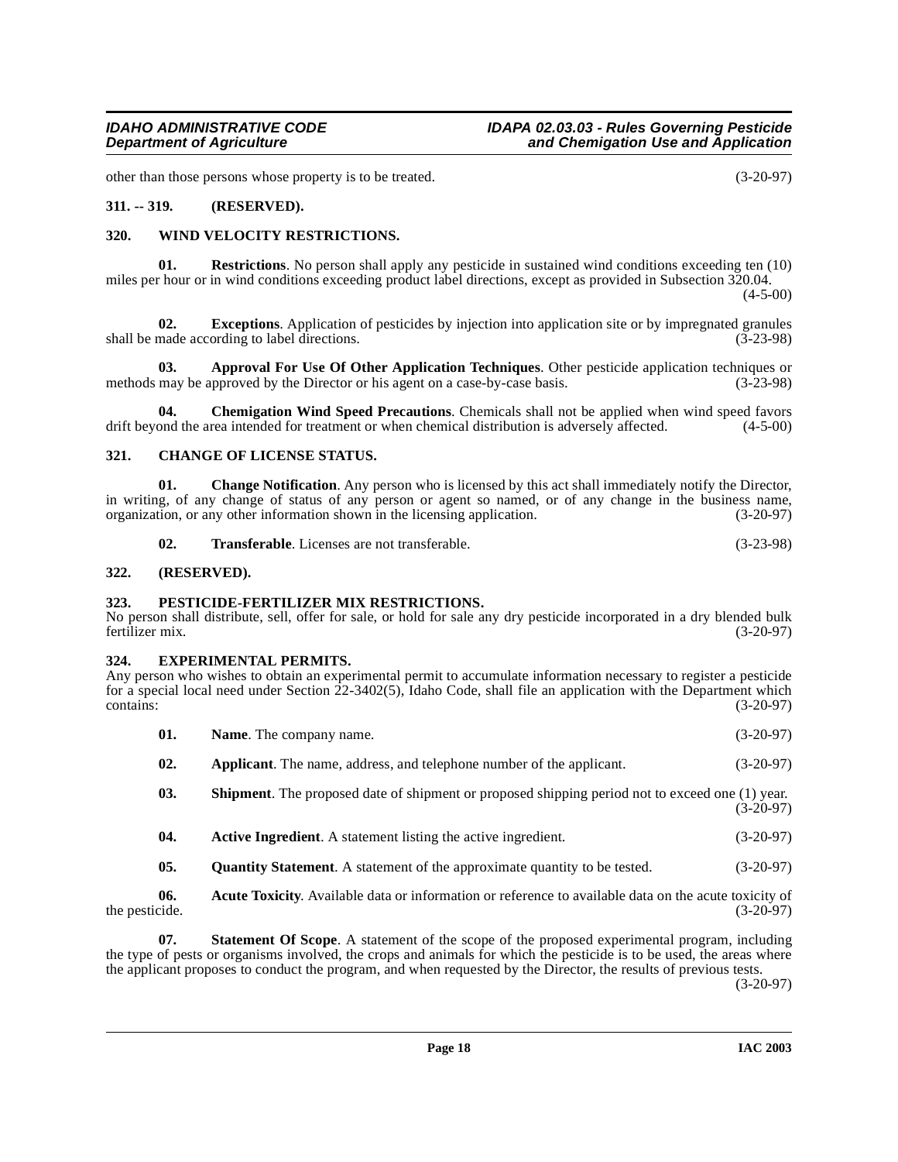other than those persons whose property is to be treated. (3-20-97)

#### <span id="page-17-0"></span>**311. -- 319. (RESERVED).**

#### <span id="page-17-17"></span><span id="page-17-1"></span>**320. WIND VELOCITY RESTRICTIONS.**

**01. Restrictions**. No person shall apply any pesticide in sustained wind conditions exceeding ten (10) miles per hour or in wind conditions exceeding product label directions, except as provided in Subsection 320.04.

 $(4-5-00)$ 

<span id="page-17-12"></span>**02. Exceptions**. Application of pesticides by injection into application site or by impregnated granules made according to label directions. (3-23-98) shall be made according to label directions.

<span id="page-17-8"></span>**03. Approval For Use Of Other Application Techniques**. Other pesticide application techniques or methods may be approved by the Director or his agent on a case-by-case basis.  $(3-23-98)$ 

<span id="page-17-11"></span>**04.** Chemigation Wind Speed Precautions. Chemicals shall not be applied when wind speed favors ond the area intended for treatment or when chemical distribution is adversely affected. (4-5-00) drift beyond the area intended for treatment or when chemical distribution is adversely affected.

#### <span id="page-17-10"></span><span id="page-17-2"></span>**321. CHANGE OF LICENSE STATUS.**

**01. Change Notification**. Any person who is licensed by this act shall immediately notify the Director, in writing, of any change of status of any person or agent so named, or of any change in the business name, organization, or any other information shown in the licensing application. (3-20-97) organization, or any other information shown in the licensing application.

<span id="page-17-14"></span><span id="page-17-9"></span>**02. Transferable**. Licenses are not transferable. (3-23-98)

#### <span id="page-17-3"></span>**322. (RESERVED).**

#### <span id="page-17-4"></span>**323. PESTICIDE-FERTILIZER MIX RESTRICTIONS.**

No person shall distribute, sell, offer for sale, or hold for sale any dry pesticide incorporated in a dry blended bulk<br>(3-20-97)<br>(3-20-97) fertilizer mix. (3-20-97)

#### <span id="page-17-13"></span><span id="page-17-5"></span>**324. EXPERIMENTAL PERMITS.**

Any person who wishes to obtain an experimental permit to accumulate information necessary to register a pesticide for a special local need under Section 22-3402(5), Idaho Code, shall file an application with the Department which  $\frac{1}{3}$  (3-20-97)

- **01.** Name. The company name. (3-20-97)
- **02. Applicant**. The name, address, and telephone number of the applicant. (3-20-97)
- **03.** Shipment. The proposed date of shipment or proposed shipping period not to exceed one (1) year. (3-20-97)
- <span id="page-17-15"></span><span id="page-17-6"></span>**04. Active Ingredient**. A statement listing the active ingredient. (3-20-97)
- <span id="page-17-16"></span><span id="page-17-7"></span>**05.** Quantity Statement. A statement of the approximate quantity to be tested.  $(3-20-97)$

**06.** Acute Toxicity. Available data or information or reference to available data on the acute toxicity of cide. (3-20-97) the pesticide.

**07. Statement Of Scope**. A statement of the scope of the proposed experimental program, including the type of pests or organisms involved, the crops and animals for which the pesticide is to be used, the areas where the applicant proposes to conduct the program, and when requested by the Director, the results of previous tests.

(3-20-97)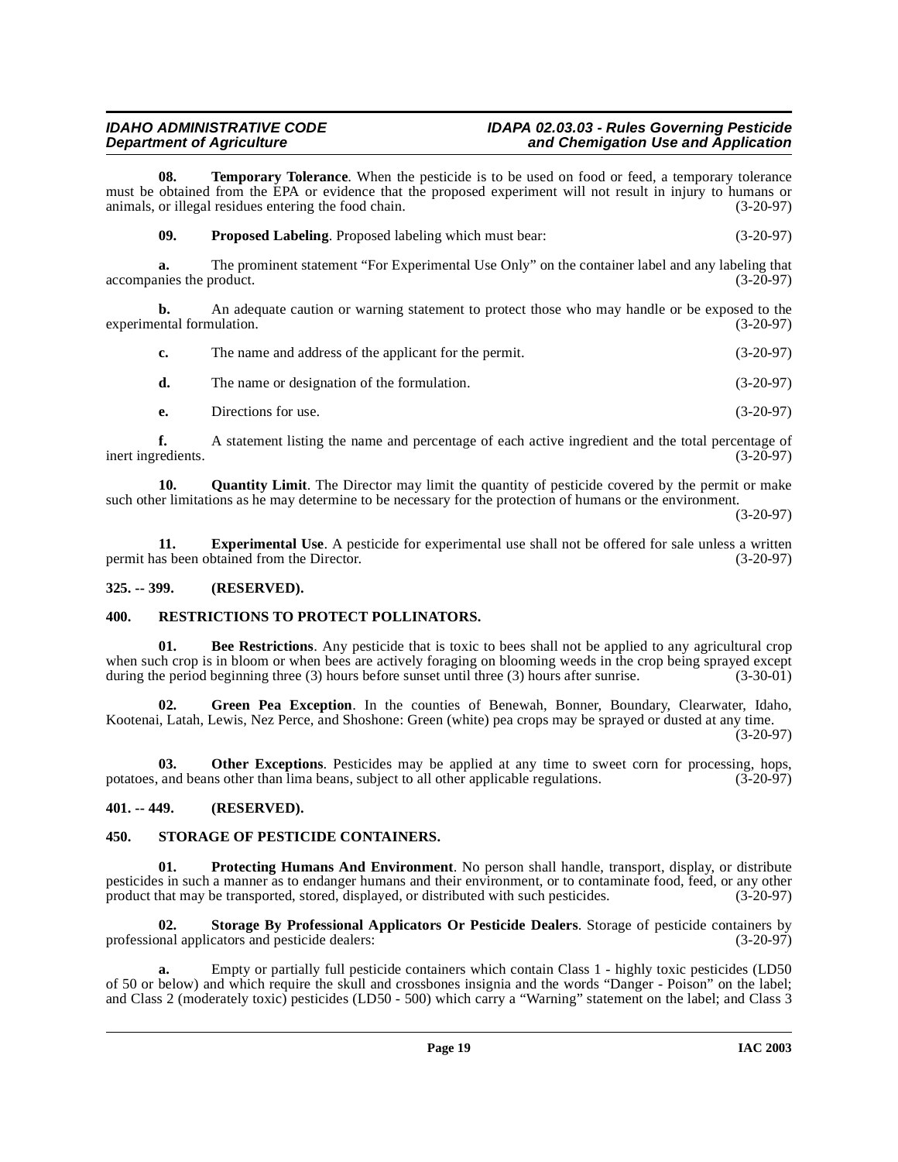# **IDAHO ADMINISTRATIVE CODE IDAPA 02.03.03 - Rules Governing Pesticide**<br>Department of Agriculture **interpret in the and Chemigation Use and Application**

# and Chemigation Use and Application

**08. Temporary Tolerance**. When the pesticide is to be used on food or feed, a temporary tolerance must be obtained from the EPA or evidence that the proposed experiment will not result in injury to humans or animals, or illegal residues entering the food chain. (3-20-97) animals, or illegal residues entering the food chain.

<span id="page-18-14"></span><span id="page-18-8"></span>**09. Proposed Labeling**. Proposed labeling which must bear: (3-20-97)

**a.** The prominent statement "For Experimental Use Only" on the container label and any labeling that nies the product. (3-20-97) accompanies the product.

**b.** An adequate caution or warning statement to protect those who may handle or be exposed to the experimental formulation. (3-20-97)

| c. | The name and address of the applicant for the permit. | $(3-20-97)$ |
|----|-------------------------------------------------------|-------------|
| d. | The name or designation of the formulation.           | $(3-20-97)$ |
|    | Directions for use.                                   | $(3-20-97)$ |

**f.** A statement listing the name and percentage of each active ingredient and the total percentage of inert ingredients. (3-20-97)

<span id="page-18-10"></span>**10. Quantity Limit**. The Director may limit the quantity of pesticide covered by the permit or make such other limitations as he may determine to be necessary for the protection of humans or the environment.

(3-20-97)

<span id="page-18-5"></span>**11. Experimental Use**. A pesticide for experimental use shall not be offered for sale unless a written as been obtained from the Director. (3-20-97) permit has been obtained from the Director.

### <span id="page-18-0"></span>**325. -- 399. (RESERVED).**

## <span id="page-18-11"></span><span id="page-18-1"></span>**400. RESTRICTIONS TO PROTECT POLLINATORS.**

<span id="page-18-4"></span>**01. Bee Restrictions**. Any pesticide that is toxic to bees shall not be applied to any agricultural crop when such crop is in bloom or when bees are actively foraging on blooming weeds in the crop being sprayed except during the period beginning three (3) hours before sunset until three (3) hours after sunrise. (3-30-01)

<span id="page-18-6"></span>Green Pea Exception. In the counties of Benewah, Bonner, Boundary, Clearwater, Idaho, Kootenai, Latah, Lewis, Nez Perce, and Shoshone: Green (white) pea crops may be sprayed or dusted at any time.  $(3-20-97)$ 

<span id="page-18-7"></span>**03.** Other Exceptions. Pesticides may be applied at any time to sweet corn for processing, hops, potatoes, and beans other than lima beans, subject to all other applicable regulations. (3-20-97)

### <span id="page-18-2"></span>**401. -- 449. (RESERVED).**

### <span id="page-18-13"></span><span id="page-18-9"></span><span id="page-18-3"></span>**450. STORAGE OF PESTICIDE CONTAINERS.**

**01. Protecting Humans And Environment**. No person shall handle, transport, display, or distribute pesticides in such a manner as to endanger humans and their environment, or to contaminate food, feed, or any other<br>product that may be transported, stored, displayed, or distributed with such pesticides. (3-20-97) product that may be transported, stored, displayed, or distributed with such pesticides.

<span id="page-18-12"></span>**02. Storage By Professional Applicators Or Pesticide Dealers**. Storage of pesticide containers by professional applicators and pesticide dealers: (3-20-97)

**a.** Empty or partially full pesticide containers which contain Class 1 - highly toxic pesticides (LD50 of 50 or below) and which require the skull and crossbones insignia and the words "Danger - Poison" on the label; and Class 2 (moderately toxic) pesticides (LD50 - 500) which carry a "Warning" statement on the label; and Class 3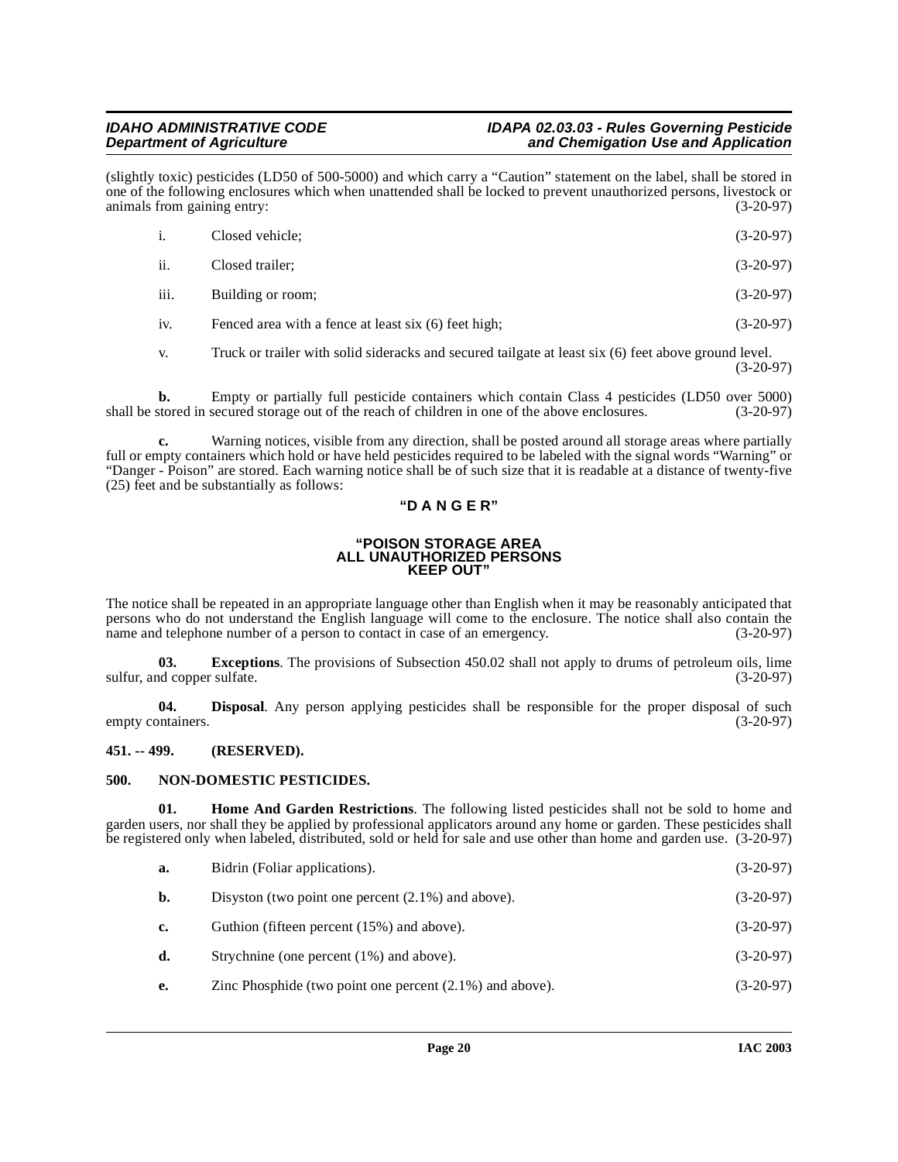(slightly toxic) pesticides (LD50 of 500-5000) and which carry a "Caution" statement on the label, shall be stored in one of the following enclosures which when unattended shall be locked to prevent unauthorized persons, livestock or<br>(3-20-97) (3-20-97) animals from gaining entry:

| <sup>1</sup> | Closed vehicle;                                      | $(3-20-97)$ |
|--------------|------------------------------------------------------|-------------|
| ii.          | Closed trailer;                                      | $(3-20-97)$ |
| iii.         | Building or room;                                    | $(3-20-97)$ |
| iv.          | Fenced area with a fence at least six (6) feet high; | $(3-20-97)$ |

v. Truck or trailer with solid sideracks and secured tailgate at least six (6) feet above ground level.

(3-20-97)

**b.** Empty or partially full pesticide containers which contain Class 4 pesticides (LD50 over 5000) stored in secured storage out of the reach of children in one of the above enclosures. (3-20-97) shall be stored in secured storage out of the reach of children in one of the above enclosures.

**c.** Warning notices, visible from any direction, shall be posted around all storage areas where partially full or empty containers which hold or have held pesticides required to be labeled with the signal words "Warning" or "Danger - Poison" are stored. Each warning notice shall be of such size that it is readable at a distance of twenty-five (25) feet and be substantially as follows:

## **"D A N G E R"**

#### **"POISON STORAGE AREA ALL UNAUTHORIZED PERSONS KEEP OUT"**

The notice shall be repeated in an appropriate language other than English when it may be reasonably anticipated that persons who do not understand the English language will come to the enclosure. The notice shall also contain the name and telephone number of a person to contact in case of an emergency. (3-20-97) name and telephone number of a person to contact in case of an emergency.

<span id="page-19-3"></span>**03. Exceptions**. The provisions of Subsection 450.02 shall not apply to drums of petroleum oils, lime of copper sulfate. (3-20-97) sulfur, and copper sulfate.

<span id="page-19-2"></span>**04.** Disposal. Any person applying pesticides shall be responsible for the proper disposal of such ontainers. (3-20-97) empty containers.

### <span id="page-19-0"></span>**451. -- 499. (RESERVED).**

### <span id="page-19-5"></span><span id="page-19-1"></span>**500. NON-DOMESTIC PESTICIDES.**

**01. Home And Garden Restrictions**. The following listed pesticides shall not be sold to home and garden users, nor shall they be applied by professional applicators around any home or garden. These pesticides shall be registered only when labeled, distributed, sold or held for sale and use other than home and garden use. (3-20-97)

<span id="page-19-4"></span>

| а. | Bidrin (Foliar applications).                         | $(3-20-97)$ |
|----|-------------------------------------------------------|-------------|
| b. | Disyston (two point one percent $(2.1\%)$ and above). | $(3-20-97)$ |
| c. | Guthion (fifteen percent (15%) and above).            | $(3-20-97)$ |
|    | Strychnine (one percent (1%) and above).              | $(3-20-97)$ |

**e.** Zinc Phosphide (two point one percent (2.1%) and above). (3-20-97)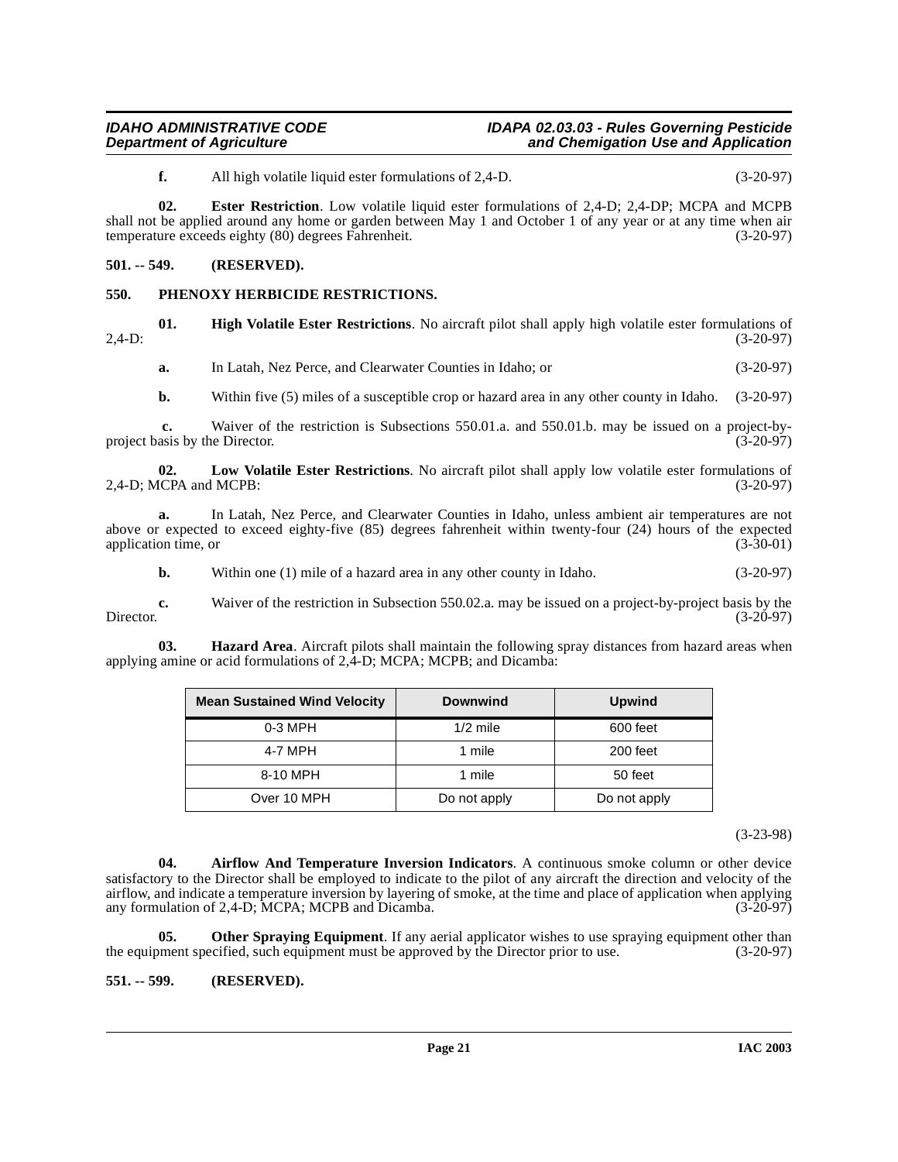<span id="page-20-4"></span>**f.** All high volatile liquid ester formulations of 2,4-D. (3-20-97)

**02. Ester Restriction**. Low volatile liquid ester formulations of 2,4-D; 2,4-DP; MCPA and MCPB shall not be applied around any home or garden between May 1 and October 1 of any year or at any time when air temperature exceeds eighty (80) degrees Fahrenheit. (3-20-97) temperature exceeds eighty (80) degrees Fahrenheit.

#### <span id="page-20-0"></span>**501. -- 549. (RESERVED).**

#### <span id="page-20-9"></span><span id="page-20-1"></span>**550. PHENOXY HERBICIDE RESTRICTIONS.**

**01. High Volatile Ester Restrictions**. No aircraft pilot shall apply high volatile ester formulations of (3-20-97) 2,4-D: (3-20-97)

<span id="page-20-6"></span>**a.** In Latah, Nez Perce, and Clearwater Counties in Idaho; or (3-20-97)

<span id="page-20-7"></span>**b.** Within five (5) miles of a susceptible crop or hazard area in any other county in Idaho. (3-20-97)

 **c.** Waiver of the restriction is Subsections 550.01.a. and 550.01.b. may be issued on a project-byproject basis by the Director. (3-20-97)

**02.** Low Volatile Ester Restrictions. No aircraft pilot shall apply low volatile ester formulations of ICPA and MCPB: (3-20-97) 2,4-D; MCPA and MCPB:

**a.** In Latah, Nez Perce, and Clearwater Counties in Idaho, unless ambient air temperatures are not above or expected to exceed eighty-five (85) degrees fahrenheit within twenty-four (24) hours of the expected application time, or  $(3-30-01)$ application time, or

**b.** Within one (1) mile of a hazard area in any other county in Idaho. (3-20-97)

**c.** Waiver of the restriction in Subsection 550.02.a. may be issued on a project-by-project basis by the (3-20-97) Director. (3-20-97)

**03. Hazard Area**. Aircraft pilots shall maintain the following spray distances from hazard areas when applying amine or acid formulations of 2,4-D; MCPA; MCPB; and Dicamba:

<span id="page-20-5"></span>

| <b>Mean Sustained Wind Velocity</b> | <b>Downwind</b> | <b>Upwind</b> |
|-------------------------------------|-----------------|---------------|
| $0-3$ MPH                           | $1/2$ mile      | 600 feet      |
| 4-7 MPH                             | 1 mile          | 200 feet      |
| 8-10 MPH                            | 1 mile          | 50 feet       |
| Over 10 MPH                         | Do not apply    | Do not apply  |

(3-23-98)

<span id="page-20-3"></span>**04. Airflow And Temperature Inversion Indicators**. A continuous smoke column or other device satisfactory to the Director shall be employed to indicate to the pilot of any aircraft the direction and velocity of the airflow, and indicate a temperature inversion by layering of smoke, at the time and place of application when applying any formulation of 2,4-D; MCPA; MCPB and Dicamba. (3-20-97)

<span id="page-20-8"></span>**05.** Other Spraying Equipment. If any aerial applicator wishes to use spraying equipment other than the equipment specified, such equipment must be approved by the Director prior to use. (3-20-97)

### <span id="page-20-2"></span>**551. -- 599. (RESERVED).**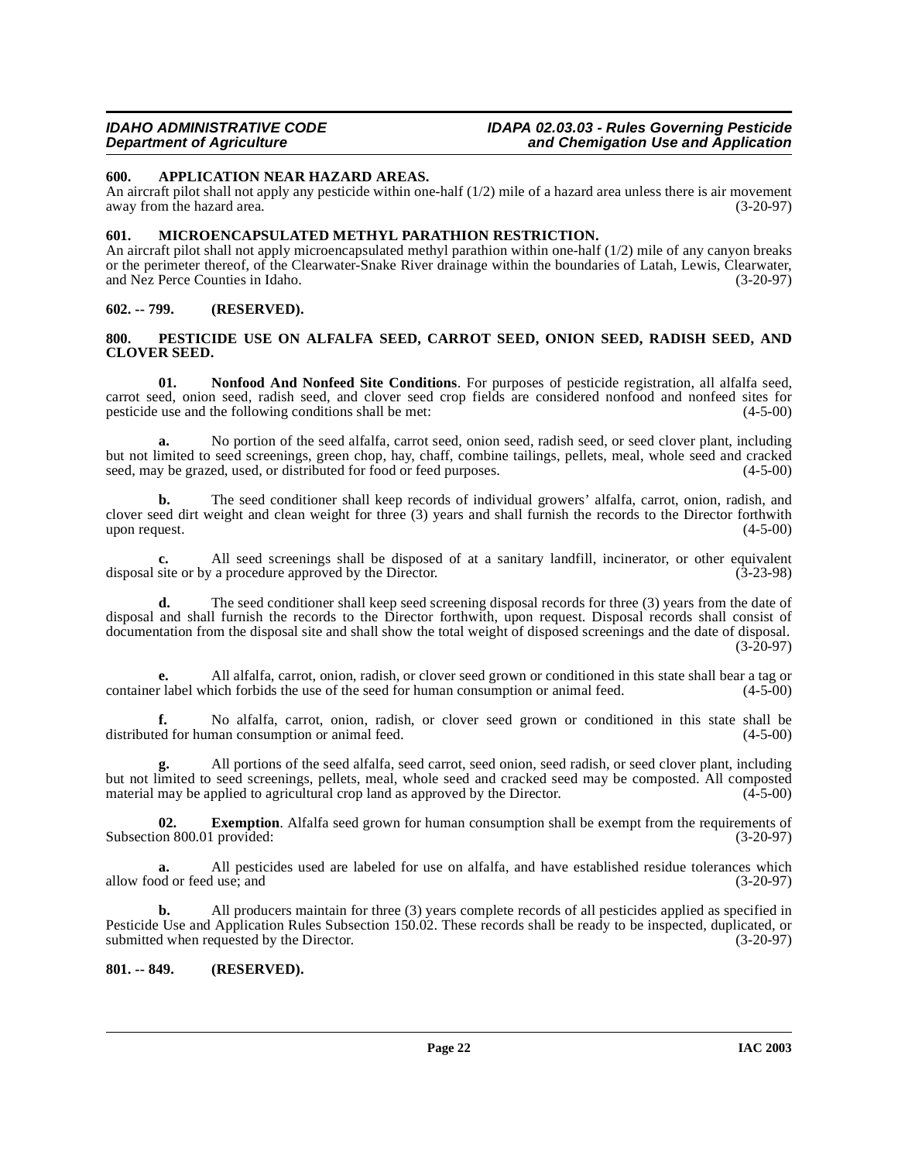### <span id="page-21-5"></span><span id="page-21-0"></span>**600. APPLICATION NEAR HAZARD AREAS.**

An aircraft pilot shall not apply any pesticide within one-half  $(1/2)$  mile of a hazard area unless there is air movement away from the hazard area.  $(3-20-97)$ away from the hazard area.

### <span id="page-21-6"></span><span id="page-21-1"></span>**601. MICROENCAPSULATED METHYL PARATHION RESTRICTION.**

An aircraft pilot shall not apply microencapsulated methyl parathion within one-half (1/2) mile of any canyon breaks or the perimeter thereof, of the Clearwater-Snake River drainage within the boundaries of Latah, Lewis, Clearwater, and Nez Perce Counties in Idaho. (3-20-97) and Nez Perce Counties in Idaho.

#### <span id="page-21-2"></span>**602. -- 799. (RESERVED).**

#### <span id="page-21-8"></span><span id="page-21-3"></span>**800. PESTICIDE USE ON ALFALFA SEED, CARROT SEED, ONION SEED, RADISH SEED, AND CLOVER SEED.**

<span id="page-21-7"></span>**01. Nonfood And Nonfeed Site Conditions**. For purposes of pesticide registration, all alfalfa seed, carrot seed, onion seed, radish seed, and clover seed crop fields are considered nonfood and nonfeed sites for pesticide use and the following conditions shall be met:

**a.** No portion of the seed alfalfa, carrot seed, onion seed, radish seed, or seed clover plant, including but not limited to seed screenings, green chop, hay, chaff, combine tailings, pellets, meal, whole seed and cracked seed, may be grazed, used, or distributed for food or feed purposes.

**b.** The seed conditioner shall keep records of individual growers' alfalfa, carrot, onion, radish, and clover seed dirt weight and clean weight for three (3) years and shall furnish the records to the Director forthwith upon request.  $(4-5-00)$ 

**c.** All seed screenings shall be disposed of at a sanitary landfill, incinerator, or other equivalent site or by a procedure approved by the Director. (3-23-98) disposal site or by a procedure approved by the Director.

**d.** The seed conditioner shall keep seed screening disposal records for three (3) years from the date of disposal and shall furnish the records to the Director forthwith, upon request. Disposal records shall consist of documentation from the disposal site and shall show the total weight of disposed screenings and the date of disposal.  $(3-20-97)$ 

**e.** All alfalfa, carrot, onion, radish, or clover seed grown or conditioned in this state shall bear a tag or container label which forbids the use of the seed for human consumption or animal feed. (4-5-00)

**f.** No alfalfa, carrot, onion, radish, or clover seed grown or conditioned in this state shall be ed for human consumption or animal feed.  $(4-5-00)$ distributed for human consumption or animal feed.

**g.** All portions of the seed alfalfa, seed carrot, seed onion, seed radish, or seed clover plant, including but not limited to seed screenings, pellets, meal, whole seed and cracked seed may be composted. All composted material may be applied to agricultural crop land as approved by the Director.  $(4-5-00)$ 

**02. Exemption**. Alfalfa seed grown for human consumption shall be exempt from the requirements of on 800.01 provided: (3-20-97) Subsection 800.01 provided:

**a.** All pesticides used are labeled for use on alfalfa, and have established residue tolerances which od or feed use; and (3-20-97) allow food or feed use; and

**b.** All producers maintain for three (3) years complete records of all pesticides applied as specified in Pesticide Use and Application Rules Subsection 150.02. These records shall be ready to be inspected, duplicated, or submitted when requested by the Director. (3-20-97)

### <span id="page-21-4"></span>**801. -- 849. (RESERVED).**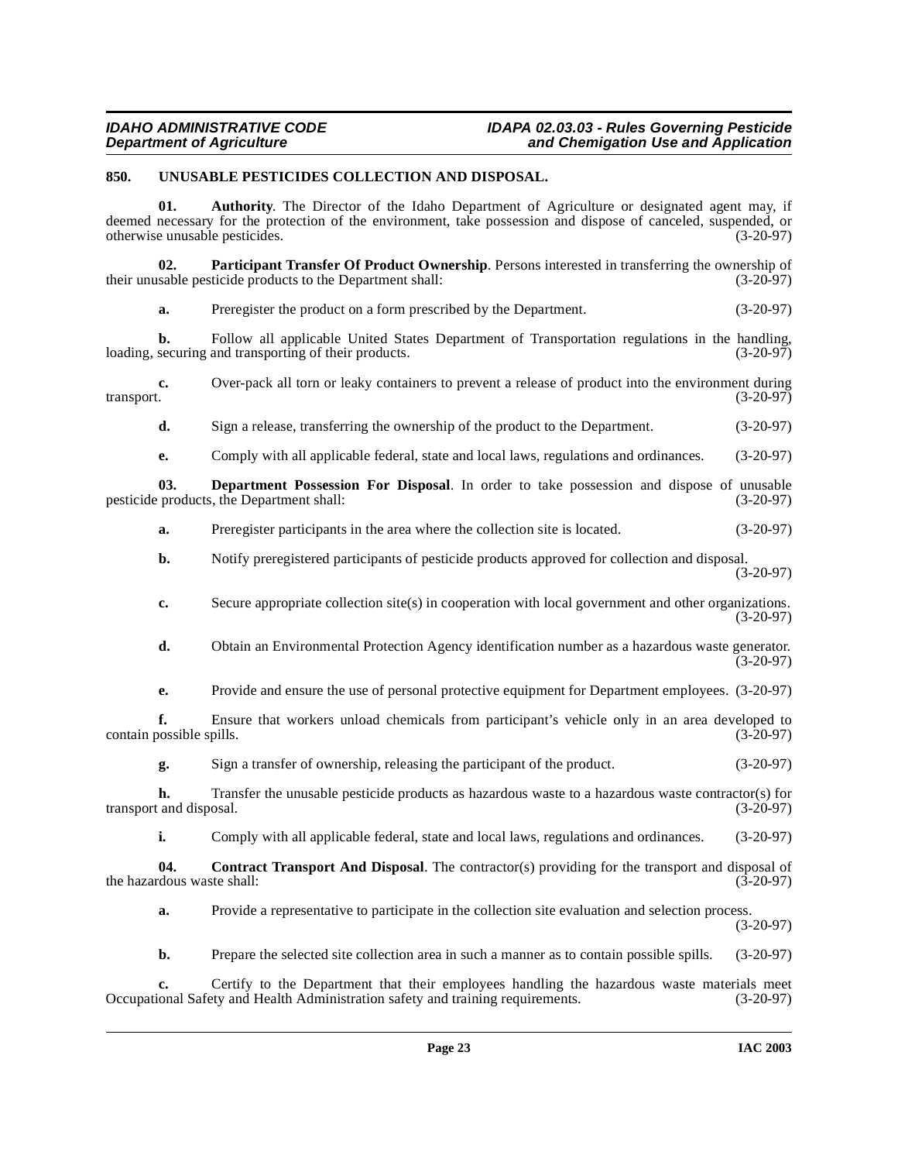### <span id="page-22-4"></span><span id="page-22-0"></span>**850. UNUSABLE PESTICIDES COLLECTION AND DISPOSAL.**

<span id="page-22-3"></span><span id="page-22-2"></span>**01. Authority**. The Director of the Idaho Department of Agriculture or designated agent may, if deemed necessary for the protection of the environment, take possession and dispose of canceled, suspended, or otherwise unusable pesticides. (3-20-97) otherwise unusable pesticides. **02.** Participant Transfer Of Product Ownership. Persons interested in transferring the ownership of sable pesticide products to the Department shall: (3-20-97) their unusable pesticide products to the Department shall: **a.** Preregister the product on a form prescribed by the Department. (3-20-97) **b.** Follow all applicable United States Department of Transportation regulations in the handling, securing and transporting of their products. (3-20-97) loading, securing and transporting of their products. **c.** Over-pack all torn or leaky containers to prevent a release of product into the environment during transport. (3-20-97)  ${\rm transport.}$  (3-20-97) **d.** Sign a release, transferring the ownership of the product to the Department. (3-20-97) **e.** Comply with all applicable federal, state and local laws, regulations and ordinances. (3-20-97) **03.** Department Possession For Disposal. In order to take possession and dispose of unusable products, the Department shall: (3-20-97) pesticide products, the Department shall: **a.** Preregister participants in the area where the collection site is located.  $(3-20-97)$ **b.** Notify preregistered participants of pesticide products approved for collection and disposal. (3-20-97) **c.** Secure appropriate collection site(s) in cooperation with local government and other organizations. (3-20-97) **d.** Obtain an Environmental Protection Agency identification number as a hazardous waste generator. (3-20-97) **e.** Provide and ensure the use of personal protective equipment for Department employees.  $(3-20-97)$ **f.** Ensure that workers unload chemicals from participant's vehicle only in an area developed to possible spills. (3-20-97) contain possible spills. **g.** Sign a transfer of ownership, releasing the participant of the product. (3-20-97) **h.** Transfer the unusable pesticide products as hazardous waste to a hazardous waste contractor(s) for transport and disposal. (3-20-97)

<span id="page-22-1"></span>**i.** Comply with all applicable federal, state and local laws, regulations and ordinances. (3-20-97)

**04.** Contract Transport And Disposal. The contractor(s) providing for the transport and disposal of dous waste shall: (3-20-97) the hazardous waste shall:

**a.** Provide a representative to participate in the collection site evaluation and selection process.

(3-20-97)

**b.** Prepare the selected site collection area in such a manner as to contain possible spills. (3-20-97)

**c.** Certify to the Department that their employees handling the hazardous waste materials meet ional Safety and Health Administration safety and training requirements. (3-20-97) Occupational Safety and Health Administration safety and training requirements.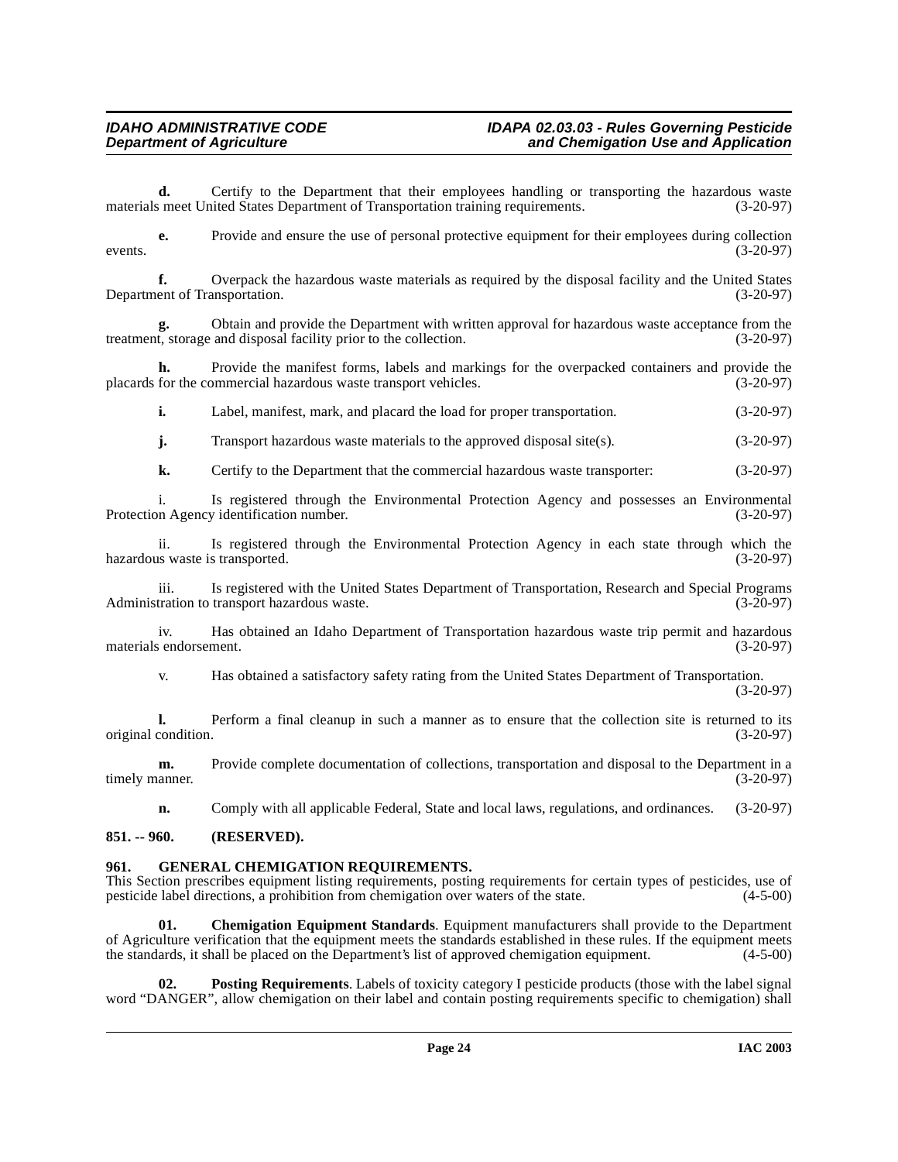**d.** Certify to the Department that their employees handling or transporting the hazardous waste smeet United States Department of Transportation training requirements. (3-20-97) materials meet United States Department of Transportation training requirements.

**e.** Provide and ensure the use of personal protective equipment for their employees during collection  $(3-20-97)$ 

**f.** Overpack the hazardous waste materials as required by the disposal facility and the United States ent of Transportation. (3-20-97) Department of Transportation.

**g.** Obtain and provide the Department with written approval for hazardous waste acceptance from the t, storage and disposal facility prior to the collection. (3-20-97) treatment, storage and disposal facility prior to the collection.

**h.** Provide the manifest forms, labels and markings for the overpacked containers and provide the placards for the commercial hazardous waste transport vehicles. (3-20-97)

**i.** Label, manifest, mark, and placard the load for proper transportation. (3-20-97)

**j.** Transport hazardous waste materials to the approved disposal site(s). (3-20-97)

**k.** Certify to the Department that the commercial hazardous waste transporter:  $(3-20-97)$ 

i. Is registered through the Environmental Protection Agency and possesses an Environmental Protection Agency identification number.

ii. Is registered through the Environmental Protection Agency in each state through which the us waste is transported. (3-20-97) hazardous waste is transported.

iii. Is registered with the United States Department of Transportation, Research and Special Programs tration to transport hazardous waste. (3-20-97) Administration to transport hazardous waste.

iv. Has obtained an Idaho Department of Transportation hazardous waste trip permit and hazardous materials endorsement.

v. Has obtained a satisfactory safety rating from the United States Department of Transportation. (3-20-97)

**l.** Perform a final cleanup in such a manner as to ensure that the collection site is returned to its original condition. (3-20-97)

**m.** Provide complete documentation of collections, transportation and disposal to the Department in a timely manner. (3-20-97)

<span id="page-23-3"></span>**n.** Comply with all applicable Federal, State and local laws, regulations, and ordinances. (3-20-97)

#### <span id="page-23-0"></span>**851. -- 960. (RESERVED).**

### <span id="page-23-1"></span>**GENERAL CHEMIGATION REQUIREMENTS.**

This Section prescribes equipment listing requirements, posting requirements for certain types of pesticides, use of pesticide label directions, a prohibition from chemigation over waters of the state. (4-5-00) pesticide label directions, a prohibition from chemigation over waters of the state.

<span id="page-23-2"></span>**01. Chemigation Equipment Standards**. Equipment manufacturers shall provide to the Department of Agriculture verification that the equipment meets the standards established in these rules. If the equipment meets the standards, it shall be placed on the Department's list of approved chemigation equipment. (4-5-00)

<span id="page-23-4"></span>**02. Posting Requirements**. Labels of toxicity category I pesticide products (those with the label signal word "DANGER", allow chemigation on their label and contain posting requirements specific to chemigation) shall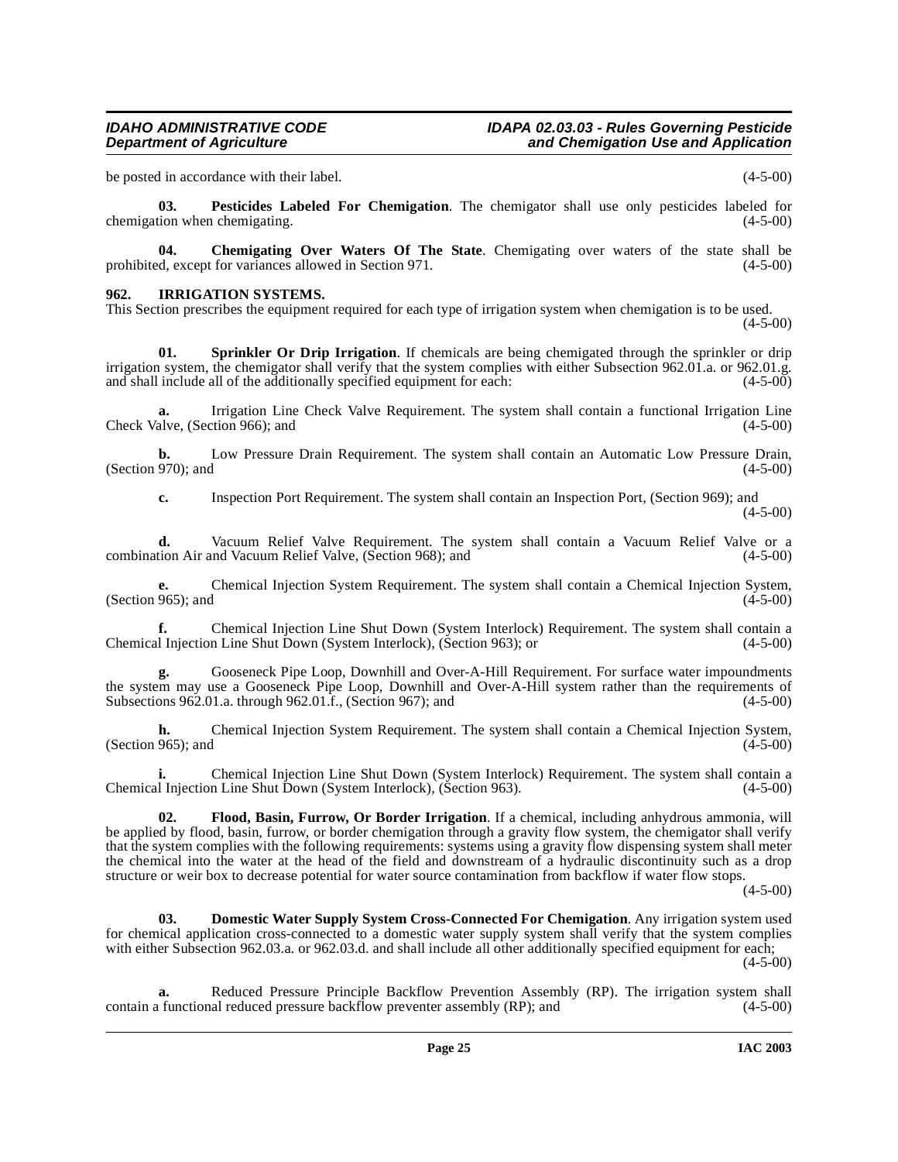be posted in accordance with their label. (4-5-00)

<span id="page-24-4"></span>**03. Pesticides Labeled For Chemigation**. The chemigator shall use only pesticides labeled for chemigation when chemigating. (4-5-00)

<span id="page-24-0"></span>**04.** Chemigating Over Waters Of The State. Chemigating over waters of the state shall be ed, except for variances allowed in Section 971. (4-5-00) prohibited, except for variances allowed in Section 971.

#### <span id="page-24-3"></span>**962. IRRIGATION SYSTEMS.**

This Section prescribes the equipment required for each type of irrigation system when chemigation is to be used.

 $(4-5-00)$ 

<span id="page-24-5"></span>**01. Sprinkler Or Drip Irrigation**. If chemicals are being chemigated through the sprinkler or drip irrigation system, the chemigator shall verify that the system complies with either Subsection 962.01.a. or 962.01.g. and shall include all of the additionally specified equipment for each: (4-5-00)

**a.** Irrigation Line Check Valve Requirement. The system shall contain a functional Irrigation Line alve. (Section 966): and (4-5-00) Check Valve, (Section 966); and

**b.** Low Pressure Drain Requirement. The system shall contain an Automatic Low Pressure Drain, 970); and (4-5-00) (Section 970); and

**c.** Inspection Port Requirement. The system shall contain an Inspection Port, (Section 969); and (4-5-00)

**d.** Vacuum Relief Valve Requirement. The system shall contain a Vacuum Relief Valve or a tion Air and Vacuum Relief Valve (Section 968); and (4-5-00) combination Air and Vacuum Relief Valve, (Section 968); and

**e.** Chemical Injection System Requirement. The system shall contain a Chemical Injection System, (Section 965); and  $(4-5-00)$ 

**f.** Chemical Injection Line Shut Down (System Interlock) Requirement. The system shall contain a l Injection Line Shut Down (System Interlock). (Section 963): or (4-5-00) Chemical Injection Line Shut Down (System Interlock), (Section 963); or

**g.** Gooseneck Pipe Loop, Downhill and Over-A-Hill Requirement. For surface water impoundments the system may use a Gooseneck Pipe Loop, Downhill and Over-A-Hill system rather than the requirements of Subsections 962.01.a. through 962.01.f., (Section 967); and (4-5-00) Subsections 962.01.a. through 962.01.f., (Section 967); and

**h.** Chemical Injection System Requirement. The system shall contain a Chemical Injection System, 965); and (4-5-00) (Section 965); and

**i.** Chemical Injection Line Shut Down (System Interlock) Requirement. The system shall contain a Chemical Injection Line Shut Down (System Interlock), (Section 963). (4-5-00)

<span id="page-24-2"></span>**02. Flood, Basin, Furrow, Or Border Irrigation**. If a chemical, including anhydrous ammonia, will be applied by flood, basin, furrow, or border chemigation through a gravity flow system, the chemigator shall verify that the system complies with the following requirements: systems using a gravity flow dispensing system shall meter the chemical into the water at the head of the field and downstream of a hydraulic discontinuity such as a drop structure or weir box to decrease potential for water source contamination from backflow if water flow stops.

 $(4-5-00)$ 

<span id="page-24-1"></span>**03. Domestic Water Supply System Cross-Connected For Chemigation**. Any irrigation system used for chemical application cross-connected to a domestic water supply system shall verify that the system complies with either Subsection 962.03.a. or 962.03.d. and shall include all other additionally specified equipment for each;  $(4-5-00)$ 

**a.** Reduced Pressure Principle Backflow Prevention Assembly (RP). The irrigation system shall (1 functional reduced pressure backflow preventer assembly (RP); and (4-5-00) contain a functional reduced pressure backflow preventer assembly  $(RP)$ ; and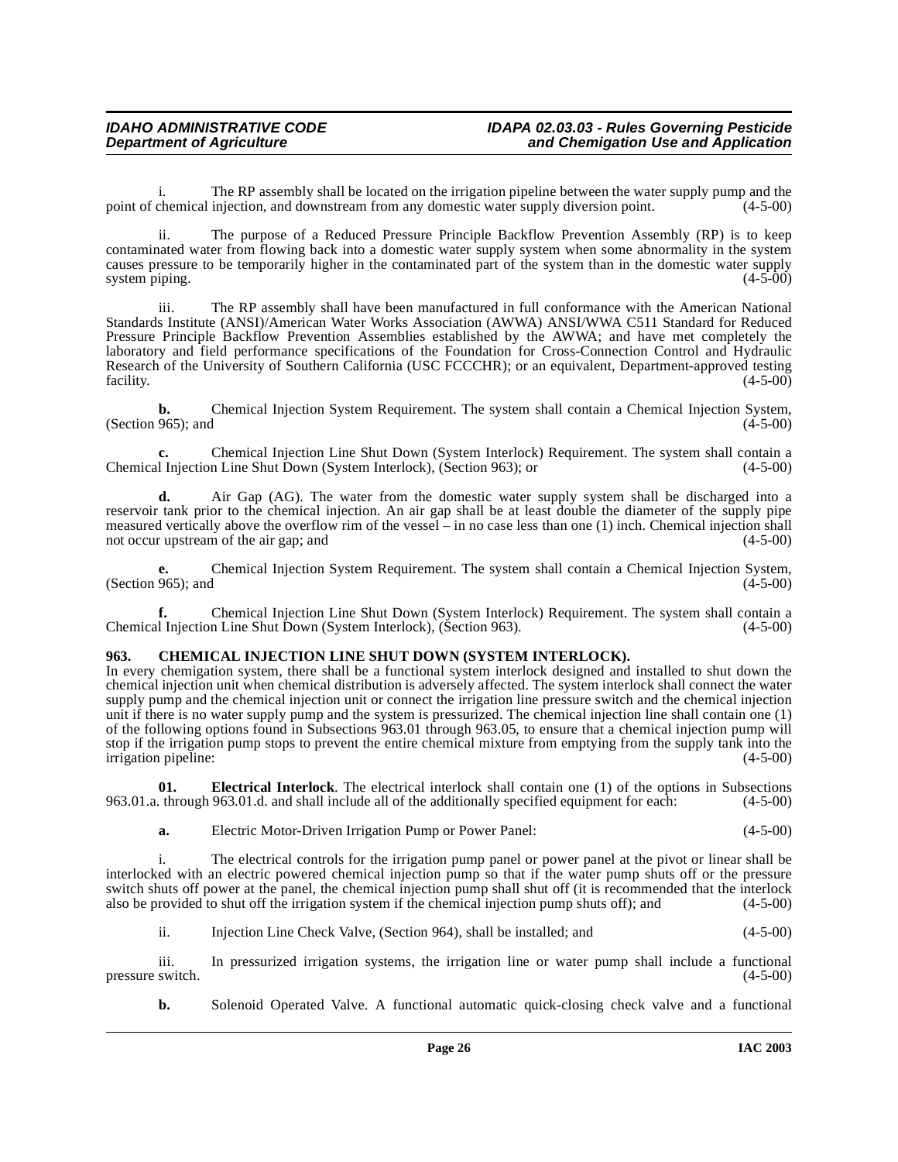i. The RP assembly shall be located on the irrigation pipeline between the water supply pump and the chemical injection, and downstream from any domestic water supply diversion point. (4-5-00) point of chemical injection, and downstream from any domestic water supply diversion point.

ii. The purpose of a Reduced Pressure Principle Backflow Prevention Assembly (RP) is to keep contaminated water from flowing back into a domestic water supply system when some abnormality in the system causes pressure to be temporarily higher in the contaminated part of the system than in the domestic water supply system piping. (4-5-00)

iii. The RP assembly shall have been manufactured in full conformance with the American National Standards Institute (ANSI)/American Water Works Association (AWWA) ANSI/WWA C511 Standard for Reduced Pressure Principle Backflow Prevention Assemblies established by the AWWA; and have met completely the laboratory and field performance specifications of the Foundation for Cross-Connection Control and Hydraulic Research of the University of Southern California (USC FCCCHR); or an equivalent, Department-approved testing facility. (4-5-00) facility.  $(4-5-00)$ 

**b.** Chemical Injection System Requirement. The system shall contain a Chemical Injection System, 965): and (4-5-00) (Section 965); and

**c.** Chemical Injection Line Shut Down (System Interlock) Requirement. The system shall contain a Chemical Injection Line Shut Down (System Interlock), (Section 963); or (4-5-00)

**d.** Air Gap (AG). The water from the domestic water supply system shall be discharged into a reservoir tank prior to the chemical injection. An air gap shall be at least double the diameter of the supply pipe measured vertically above the overflow rim of the vessel – in no case less than one (1) inch. Chemical injection shall not occur upstream of the air gap; and  $(4-5-00)$ not occur upstream of the air gap; and

**e.** Chemical Injection System Requirement. The system shall contain a Chemical Injection System, (Section 965); and  $(4-5-00)$ 

**f.** Chemical Injection Line Shut Down (System Interlock) Requirement. The system shall contain a l Injection Line Shut Down (System Interlock), (Section 963). Chemical Injection Line Shut Down (System Interlock), (Section 963).

### <span id="page-25-1"></span><span id="page-25-0"></span>**963. CHEMICAL INJECTION LINE SHUT DOWN (SYSTEM INTERLOCK).**

In every chemigation system, there shall be a functional system interlock designed and installed to shut down the chemical injection unit when chemical distribution is adversely affected. The system interlock shall connect the water supply pump and the chemical injection unit or connect the irrigation line pressure switch and the chemical injection unit if there is no water supply pump and the system is pressurized. The chemical injection line shall contain one (1) of the following options found in Subsections 963.01 through 963.05, to ensure that a chemical injection pump will stop if the irrigation pump stops to prevent the entire chemical mixture from emptying from the supply tank into the irrigation pipeline: (4-5-00)

**01. Electrical Interlock**. The electrical interlock shall contain one (1) of the options in Subsections 963.01.a. through 963.01.d. and shall include all of the additionally specified equipment for each: (4-5-00)

<span id="page-25-2"></span>**a.** Electric Motor-Driven Irrigation Pump or Power Panel: (4-5-00)

i. The electrical controls for the irrigation pump panel or power panel at the pivot or linear shall be interlocked with an electric powered chemical injection pump so that if the water pump shuts off or the pressure switch shuts off power at the panel, the chemical injection pump shall shut off (it is recommended that the interlock also be provided to shut off the irrigation system if the chemical injection pump shuts off); and  $(4-5$ also be provided to shut off the irrigation system if the chemical injection pump shuts off); and

ii. Injection Line Check Valve, (Section 964), shall be installed; and (4-5-00)

iii. In pressurized irrigation systems, the irrigation line or water pump shall include a functional switch. (4-5-00) pressure switch.

**b.** Solenoid Operated Valve. A functional automatic quick-closing check valve and a functional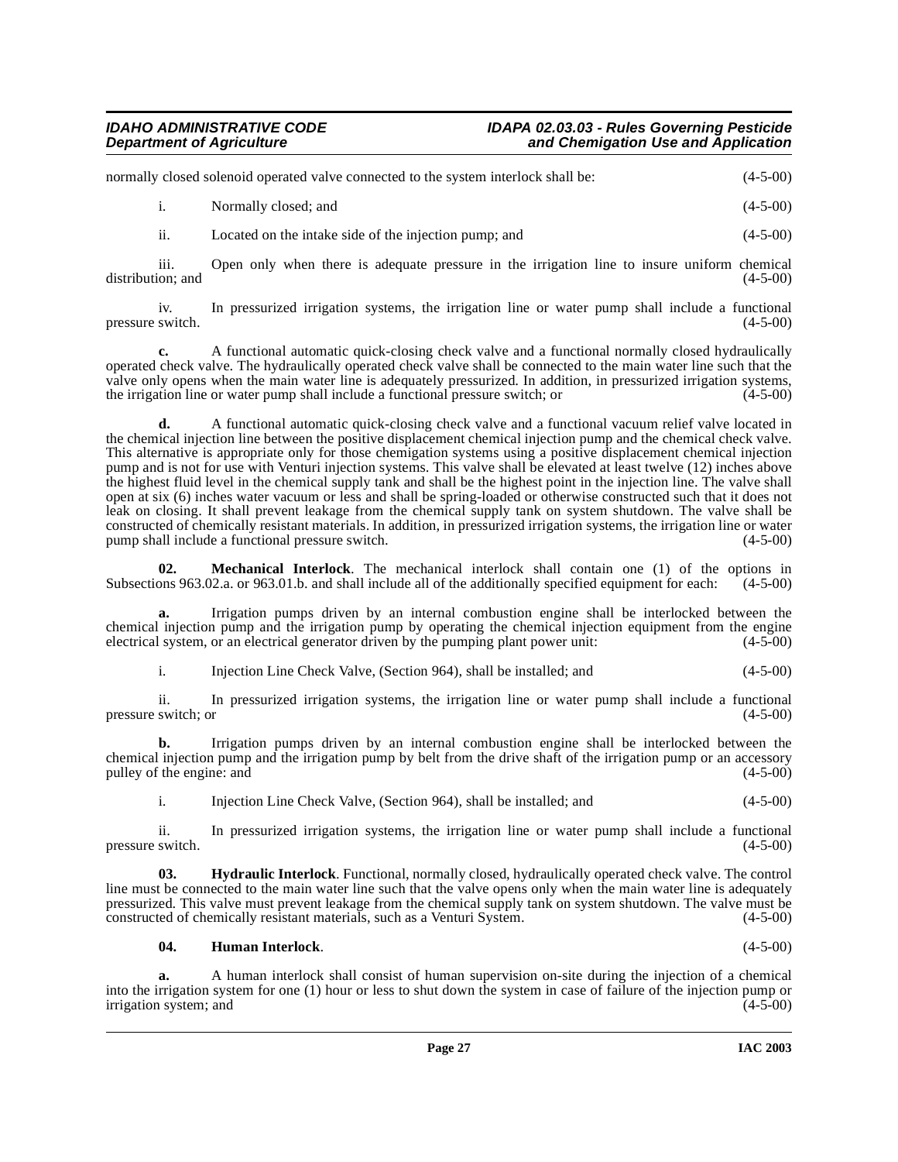| normally closed solenoid operated valve connected to the system interlock shall be: |  |                      | $(4-5-00)$   |
|-------------------------------------------------------------------------------------|--|----------------------|--------------|
|                                                                                     |  | Normally closed; and | $(4-5-00)$   |
|                                                                                     |  |                      | . <i>.</i> . |

ii. Located on the intake side of the injection pump; and (4-5-00)

iii. Open only when there is adequate pressure in the irrigation line to insure uniform chemical (4-5-00) distribution; and

iv. In pressurized irrigation systems, the irrigation line or water pump shall include a functional switch. (4-5-00) pressure switch.

**c.** A functional automatic quick-closing check valve and a functional normally closed hydraulically operated check valve. The hydraulically operated check valve shall be connected to the main water line such that the valve only opens when the main water line is adequately pressurized. In addition, in pressurized irrigation systems, the irrigation line or water pump shall include a functional pressure switch: or (4-5-00) the irrigation line or water pump shall include a functional pressure switch; or

**d.** A functional automatic quick-closing check valve and a functional vacuum relief valve located in the chemical injection line between the positive displacement chemical injection pump and the chemical check valve. This alternative is appropriate only for those chemigation systems using a positive displacement chemical injection pump and is not for use with Venturi injection systems. This valve shall be elevated at least twelve (12) inches above the highest fluid level in the chemical supply tank and shall be the highest point in the injection line. The valve shall open at six (6) inches water vacuum or less and shall be spring-loaded or otherwise constructed such that it does not leak on closing. It shall prevent leakage from the chemical supply tank on system shutdown. The valve shall be constructed of chemically resistant materials. In addition, in pressurized irrigation systems, the irrigation line or water pump shall include a functional pressure switch.

<span id="page-26-2"></span>**02. Mechanical Interlock**. The mechanical interlock shall contain one (1) of the options in Subsections 963.02.a. or 963.01.b. and shall include all of the additionally specified equipment for each: (4-5-00)

**a.** Irrigation pumps driven by an internal combustion engine shall be interlocked between the chemical injection pump and the irrigation pump by operating the chemical injection equipment from the engine electrical system, or an electrical generator driven by the pumping plant power unit: (4-5-00)

i. Injection Line Check Valve, (Section 964), shall be installed; and (4-5-00)

ii. In pressurized irrigation systems, the irrigation line or water pump shall include a functional switch; or (4-5-00) pressure switch; or

**b.** Irrigation pumps driven by an internal combustion engine shall be interlocked between the chemical injection pump and the irrigation pump by belt from the drive shaft of the irrigation pump or an accessory pulley of the engine: and (4-5-00) pulley of the engine: and

<span id="page-26-1"></span>i. Injection Line Check Valve, (Section 964), shall be installed; and (4-5-00)

ii. In pressurized irrigation systems, the irrigation line or water pump shall include a functional pressure switch.

**03. Hydraulic Interlock**. Functional, normally closed, hydraulically operated check valve. The control line must be connected to the main water line such that the valve opens only when the main water line is adequately pressurized. This valve must prevent leakage from the chemical supply tank on system shutdown. The valve must be constructed of chemically resistant materials, such as a Venturi System. constructed of chemically resistant materials, such as a Venturi System.

#### <span id="page-26-0"></span>**04. Human Interlock**. (4-5-00)

**a.** A human interlock shall consist of human supervision on-site during the injection of a chemical into the irrigation system for one (1) hour or less to shut down the system in case of failure of the injection pump or  $\frac{1}{4}$  irrigation system; and  $\frac{1}{4}$  and  $\frac{1}{4}$  and  $\frac{1}{4}$  and  $\frac{1}{4}$  and  $\frac{1}{4}$  and  $\frac{1}{4}$  and  $\frac{1}{4}$  and  $\frac{1}{4}$  and  $\frac{1}{4}$  and  $\frac{1}{4}$  and  $\frac{1}{4}$  and  $\frac{1}{4}$  and  $\frac{1}{4}$  and  $\frac{1}{$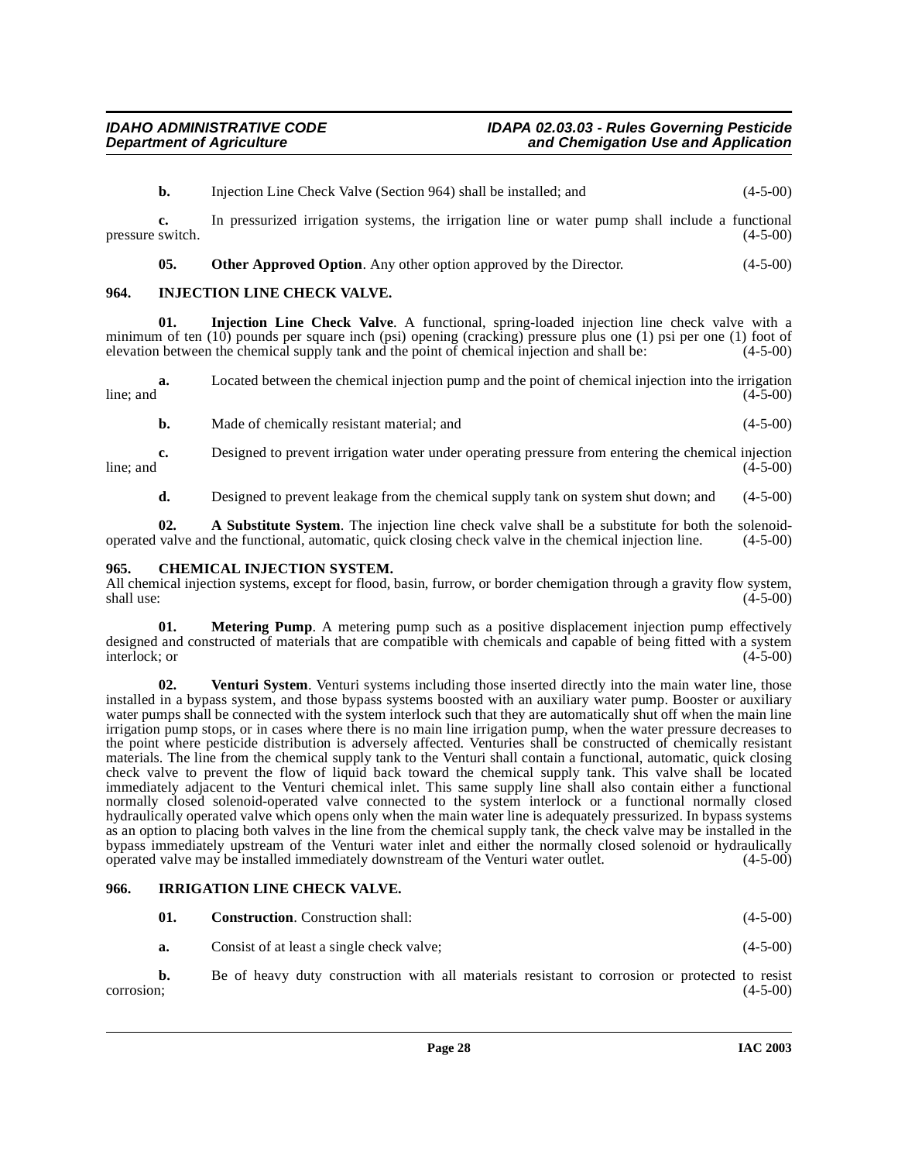**b.** Injection Line Check Valve (Section 964) shall be installed; and (4-5-00) **c.** In pressurized irrigation systems, the irrigation line or water pump shall include a functional pressure switch. (4-5-00)

<span id="page-27-4"></span>**05.** Other Approved Option. Any other option approved by the Director. (4-5-00)

#### <span id="page-27-0"></span>**964. INJECTION LINE CHECK VALVE.**

**01. Injection Line Check Valve**. A functional, spring-loaded injection line check valve with a minimum of ten (10) pounds per square inch (psi) opening (cracking) pressure plus one (1) psi per one (1) foot of elevation between the chemical supply tank and the point of chemical injection and shall be: (4-5-00)

**a.** Located between the chemical injection pump and the point of chemical injection into the irrigation (4-5-00)  $\mu$  line; and  $(4-5-00)$ 

**b.** Made of chemically resistant material; and (4-5-00)

**c.** Designed to prevent irrigation water under operating pressure from entering the chemical injection  $\frac{1}{4}$ . The start of the start of the start of the start of the start of the start of the start of the start of the start of the start of the start of the start of the start of the start of the start of the start of th

**d.** Designed to prevent leakage from the chemical supply tank on system shut down; and (4-5-00)

**02.** A Substitute System. The injection line check valve shall be a substitute for both the solenoid-<br>valve and the functional, automatic, quick closing check valve in the chemical injection line. (4-5-00) operated valve and the functional, automatic, quick closing check valve in the chemical injection line.

#### <span id="page-27-3"></span><span id="page-27-1"></span>**965. CHEMICAL INJECTION SYSTEM.**

All chemical injection systems, except for flood, basin, furrow, or border chemigation through a gravity flow system, shall use: (4-5-00)  $\text{shall use:}$  (4-5-00)

<span id="page-27-6"></span>**01.** Metering Pump. A metering pump such as a positive displacement injection pump effectively designed and constructed of materials that are compatible with chemicals and capable of being fitted with a system<br>interlock: or (4-5-00) interlock; or (4-5-00)

<span id="page-27-7"></span>**02. Venturi System**. Venturi systems including those inserted directly into the main water line, those installed in a bypass system, and those bypass systems boosted with an auxiliary water pump. Booster or auxiliary water pumps shall be connected with the system interlock such that they are automatically shut off when the main line irrigation pump stops, or in cases where there is no main line irrigation pump, when the water pressure decreases to the point where pesticide distribution is adversely affected. Venturies shall be constructed of chemically resistant materials. The line from the chemical supply tank to the Venturi shall contain a functional, automatic, quick closing check valve to prevent the flow of liquid back toward the chemical supply tank. This valve shall be located immediately adjacent to the Venturi chemical inlet. This same supply line shall also contain either a functional normally closed solenoid-operated valve connected to the system interlock or a functional normally closed hydraulically operated valve which opens only when the main water line is adequately pressurized. In bypass systems as an option to placing both valves in the line from the chemical supply tank, the check valve may be installed in the bypass immediately upstream of the Venturi water inlet and either the normally closed solenoid or hydraulically operated valve may be installed immediately downstream of the Venturi water outlet. (4-5-00)

#### <span id="page-27-2"></span>**966. IRRIGATION LINE CHECK VALVE.**

<span id="page-27-5"></span>

| 01. | <b>Construction.</b> Construction shall: | $(4-5-00)$ |
|-----|------------------------------------------|------------|
|-----|------------------------------------------|------------|

**a.** Consist of at least a single check valve; (4-5-00)

**b.** Be of heavy duty construction with all materials resistant to corrosion or protected to resist corrosion; (4-5-00)  $\frac{(-5-00)}{2}$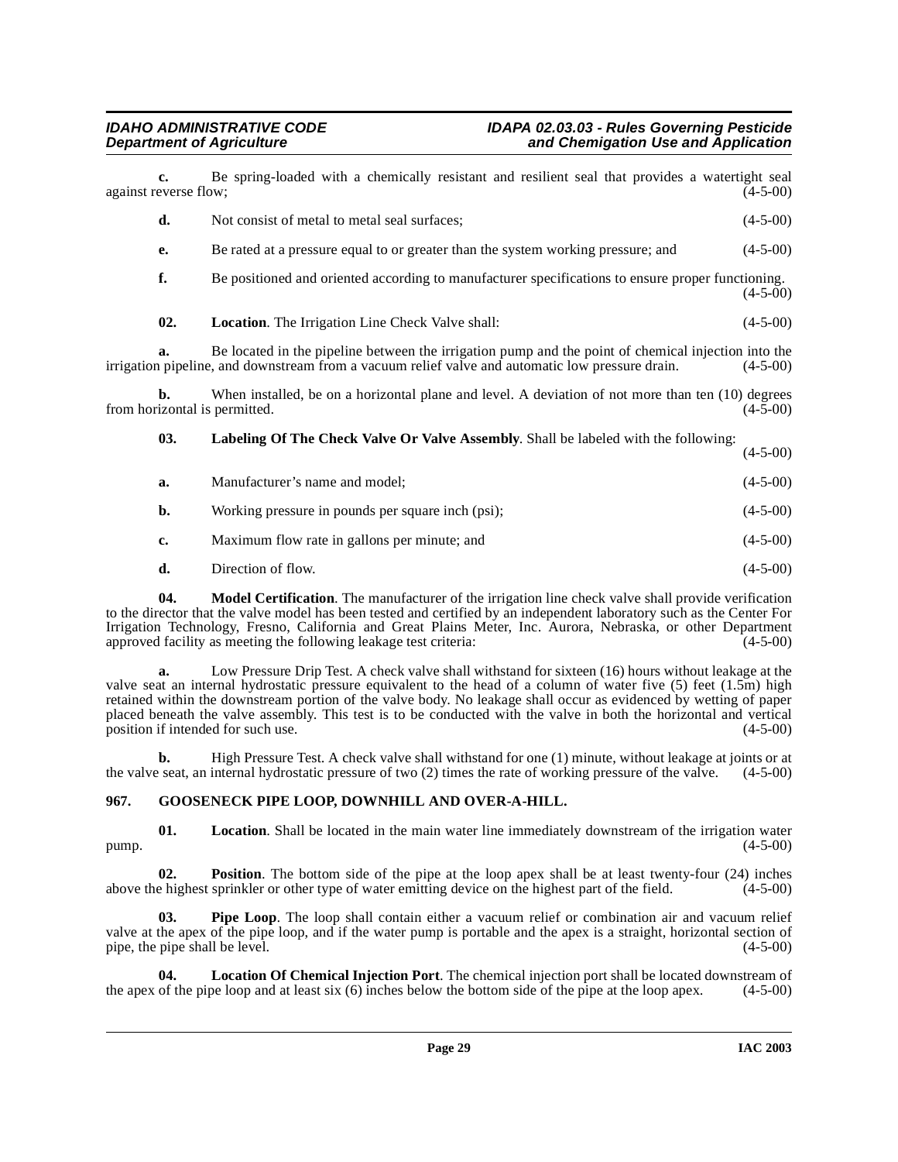| $c_{\cdot}$<br>against reverse flow; | Be spring-loaded with a chemically resistant and resilient seal that provides a watertight seal                                                                                                         | $(4-5-00)$ |
|--------------------------------------|---------------------------------------------------------------------------------------------------------------------------------------------------------------------------------------------------------|------------|
| d.                                   | Not consist of metal to metal seal surfaces;                                                                                                                                                            | $(4-5-00)$ |
| e.                                   | Be rated at a pressure equal to or greater than the system working pressure; and                                                                                                                        | $(4-5-00)$ |
| f.                                   | Be positioned and oriented according to manufacturer specifications to ensure proper functioning.                                                                                                       | $(4-5-00)$ |
| 02.                                  | Location. The Irrigation Line Check Valve shall:                                                                                                                                                        | $(4-5-00)$ |
| a.                                   | Be located in the pipeline between the irrigation pump and the point of chemical injection into the<br>irrigation pipeline, and downstream from a vacuum relief valve and automatic low pressure drain. | $(4-5-00)$ |
| b.                                   | When installed, be on a horizontal plane and level. A deviation of not more than ten (10) degrees<br>from horizontal is permitted.                                                                      | $(4-5-00)$ |
| 03.                                  | Labeling Of The Check Valve Or Valve Assembly. Shall be labeled with the following:                                                                                                                     | $(4-5-00)$ |
| a.                                   | Manufacturer's name and model;                                                                                                                                                                          | $(4-5-00)$ |
| b.                                   | Working pressure in pounds per square inch (psi);                                                                                                                                                       | $(4-5-00)$ |
| c.                                   | Maximum flow rate in gallons per minute; and                                                                                                                                                            | $(4-5-00)$ |
| d.                                   | Direction of flow.                                                                                                                                                                                      | $(4-5-00)$ |
| 04                                   | Model Certification. The manufacturer of the irrigation line check valve shall provide verification                                                                                                     |            |

<span id="page-28-3"></span><span id="page-28-2"></span>**odel Certification**. The manufacturer of the irrigation line check valve shall provide verification to the director that the valve model has been tested and certified by an independent laboratory such as the Center For Irrigation Technology, Fresno, California and Great Plains Meter, Inc. Aurora, Nebraska, or other Department approved facility as meeting the following leakage test criteria: (4-5-00)

**a.** Low Pressure Drip Test. A check valve shall withstand for sixteen (16) hours without leakage at the valve seat an internal hydrostatic pressure equivalent to the head of a column of water five (5) feet (1.5m) high retained within the downstream portion of the valve body. No leakage shall occur as evidenced by wetting of paper placed beneath the valve assembly. This test is to be conducted with the valve in both the horizontal and vertical position if intended for such use. (4-5-00) position if intended for such use.

**b.** High Pressure Test. A check valve shall withstand for one (1) minute, without leakage at joints or at the valve seat, an internal hydrostatic pressure of two  $(2)$  times the rate of working pressure of the valve.  $(4-5-00)$ 

### <span id="page-28-1"></span><span id="page-28-0"></span>**967. GOOSENECK PIPE LOOP, DOWNHILL AND OVER-A-HILL.**

**01.** Location. Shall be located in the main water line immediately downstream of the irrigation water (4-5-00)  $pump.$  (4-5-00)

**02. Position**. The bottom side of the pipe at the loop apex shall be at least twenty-four (24) inches e highest sprinkler or other type of water emitting device on the highest part of the field. (4-5-00) above the highest sprinkler or other type of water emitting device on the highest part of the field.

**03. Pipe Loop**. The loop shall contain either a vacuum relief or combination air and vacuum relief valve at the apex of the pipe loop, and if the water pump is portable and the apex is a straight, horizontal section of pipe, the pipe shall be level. (4-5-00)

**04.** Location Of Chemical Injection Port. The chemical injection port shall be located downstream of of the pipe loop and at least six (6) inches below the bottom side of the pipe at the loop apex. (4-5-00) the apex of the pipe loop and at least six  $(6)$  inches below the bottom side of the pipe at the loop apex.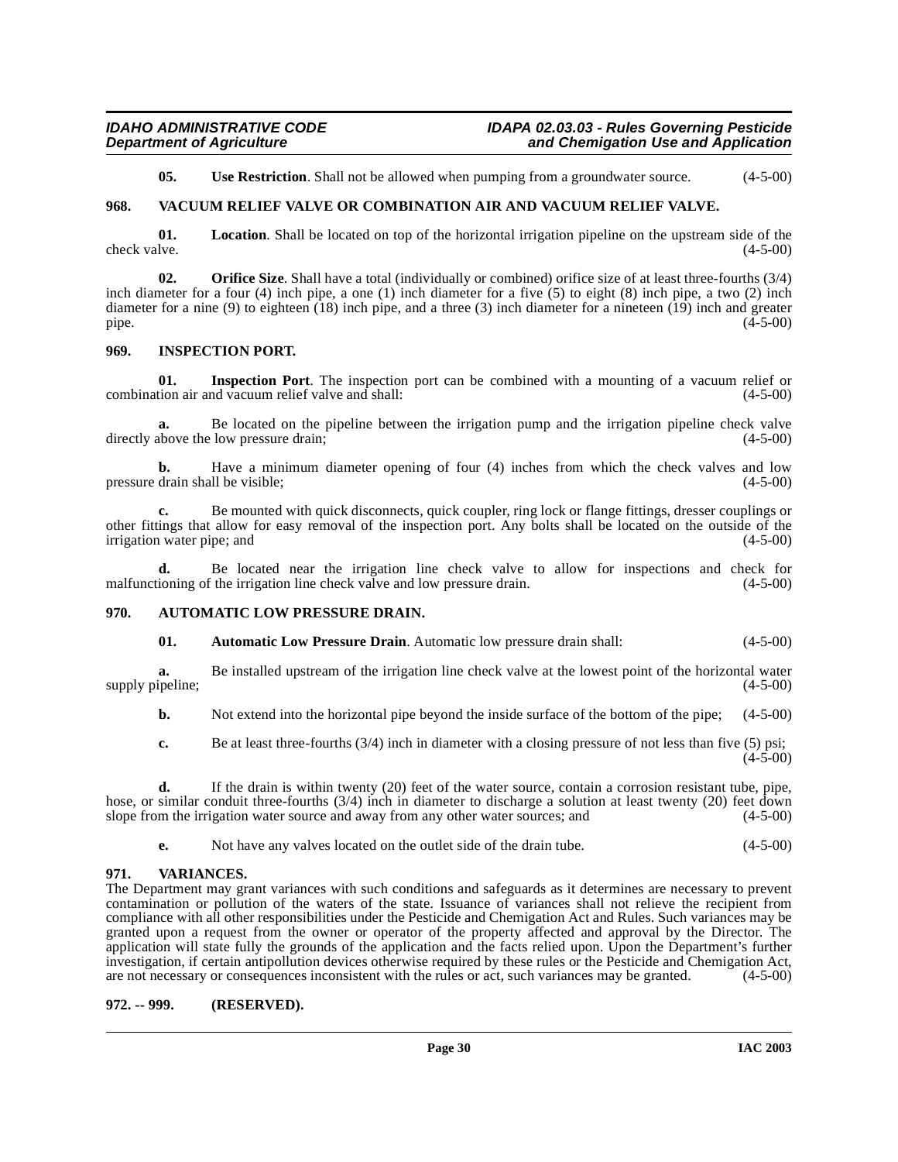<span id="page-29-8"></span><span id="page-29-7"></span>**05.** Use Restriction. Shall not be allowed when pumping from a groundwater source.  $(4-5-00)$ 

### <span id="page-29-0"></span>**968. VACUUM RELIEF VALVE OR COMBINATION AIR AND VACUUM RELIEF VALVE.**

**01.** Location. Shall be located on top of the horizontal irrigation pipeline on the upstream side of the live. check valve.

**02. Orifice Size**. Shall have a total (individually or combined) orifice size of at least three-fourths (3/4) inch diameter for a four (4) inch pipe, a one (1) inch diameter for a five (5) to eight (8) inch pipe, a two (2) inch diameter for a nine (9) to eighteen (18) inch pipe, and a three (3) inch diameter for a nineteen (19) inch and greater pipe.  $(4-5-00)$ pipe.  $(4-5-00)$ 

#### <span id="page-29-6"></span><span id="page-29-1"></span>**969. INSPECTION PORT.**

**01.** Inspection Port. The inspection port can be combined with a mounting of a vacuum relief or tion air and vacuum relief valve and shall: (4-5-00) combination air and vacuum relief valve and shall:

**a.** Be located on the pipeline between the irrigation pump and the irrigation pipeline check valve above the low pressure drain:  $(4-5-00)$ directly above the low pressure drain;

**b.** Have a minimum diameter opening of four (4) inches from which the check valves and low drain shall be visible: (4-5-00) pressure drain shall be visible;

**c.** Be mounted with quick disconnects, quick coupler, ring lock or flange fittings, dresser couplings or other fittings that allow for easy removal of the inspection port. Any bolts shall be located on the outside of the irrigation water pipe; and

**d.** Be located near the irrigation line check valve to allow for inspections and check for malfunctioning of the irrigation line check valve and low pressure drain. (4-5-00) (4-5-00)

#### <span id="page-29-2"></span>**970. AUTOMATIC LOW PRESSURE DRAIN.**

### <span id="page-29-5"></span>**01. Automatic Low Pressure Drain**. Automatic low pressure drain shall: (4-5-00)

**a.** Be installed upstream of the irrigation line check valve at the lowest point of the horizontal water ipeline; supply pipeline;

**b.** Not extend into the horizontal pipe beyond the inside surface of the bottom of the pipe; (4-5-00)

**c.** Be at least three-fourths (3/4) inch in diameter with a closing pressure of not less than five (5) psi;  $(4-5-00)$ 

**d.** If the drain is within twenty (20) feet of the water source, contain a corrosion resistant tube, pipe, hose, or similar conduit three-fourths (3/4) inch in diameter to discharge a solution at least twenty (20) feet down slope from the irrigation water source and away from any other water sources; and (4-5-00)

<span id="page-29-9"></span>**e.** Not have any valves located on the outlet side of the drain tube. (4-5-00)

### <span id="page-29-3"></span>**971. VARIANCES.**

The Department may grant variances with such conditions and safeguards as it determines are necessary to prevent contamination or pollution of the waters of the state. Issuance of variances shall not relieve the recipient from compliance with all other responsibilities under the Pesticide and Chemigation Act and Rules. Such variances may be granted upon a request from the owner or operator of the property affected and approval by the Director. The application will state fully the grounds of the application and the facts relied upon. Upon the Department's further investigation, if certain antipollution devices otherwise required by these rules or the Pesticide and Chemigation Act, are not necessary or consequences inconsistent with the rules or act, such variances may be granted. ( are not necessary or consequences inconsistent with the rules or act, such variances may be granted.

### <span id="page-29-4"></span>**972. -- 999. (RESERVED).**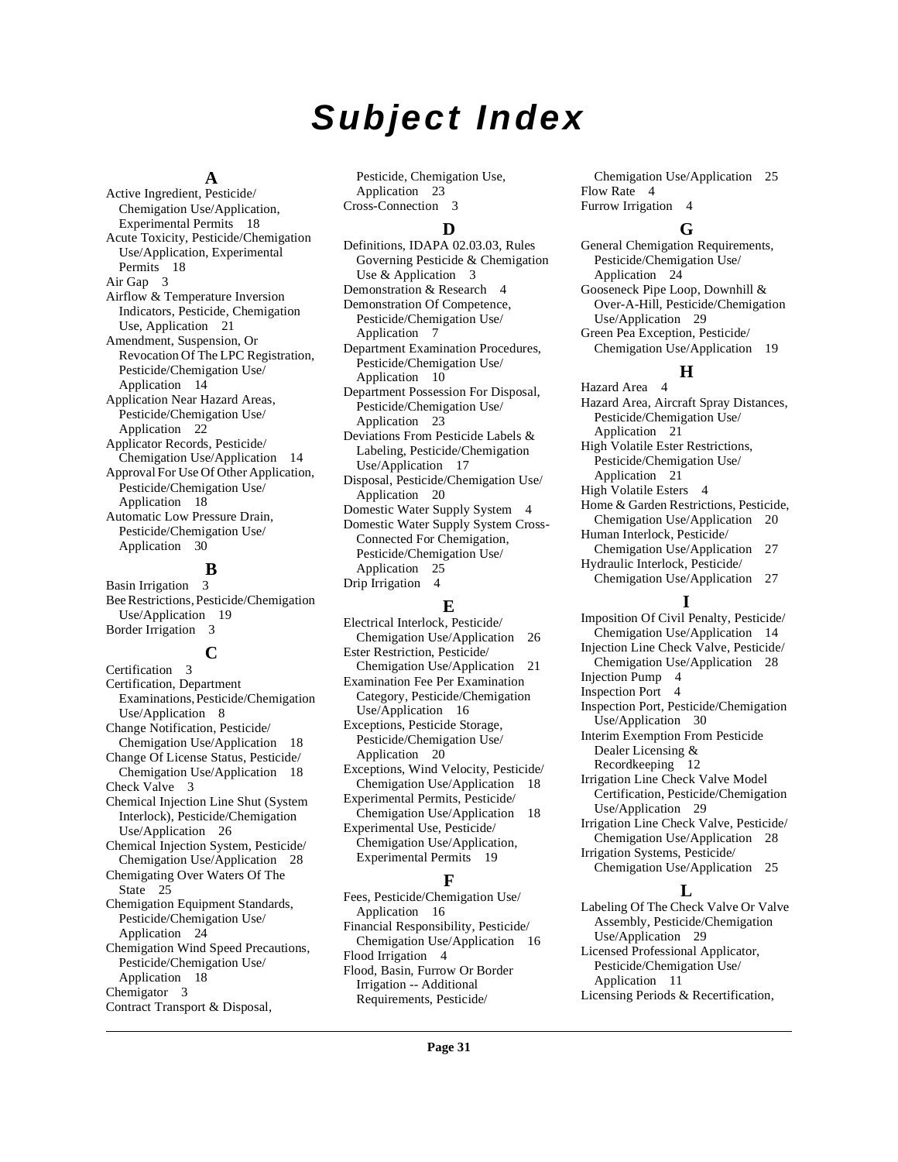# **Subject Index**

#### **A**

Active Ingredient, Pesticide/ Chemigation Use/Application, Experimental Permits [18](#page-17-6) Acute Toxicity, Pesticide/Chemigation Use/Application, Experimental Permits [18](#page-17-7) Air Gap [3](#page-2-6) Airflow & Temperature Inversion Indicators, Pesticide, Chemigation Use, Application [21](#page-20-3) Amendment, Suspension, Or Revocation Of The LPC Registration, Pesticide/Chemigation Use/ Application [14](#page-13-3) Application Near Hazard Areas, Pesticide/Chemigation Use/ Application [22](#page-21-5) Applicator Records, Pesticide/ Chemigation Use/Application [14](#page-13-4) Approval For Use Of Other Application, Pesticide/Chemigation Use/ Application [18](#page-17-8) Automatic Low Pressure Drain, Pesticide/Chemigation Use/ Application [30](#page-29-5)

### **B**

Basin Irrigation [3](#page-2-7) Bee Restrictions, Pesticide/Chemigation Use/Application [19](#page-18-4) Border Irrigation [3](#page-2-8)

#### **C**

Certification [3](#page-2-9) Certification, Department Examinations, Pesticide/Chemigation Use/Application [8](#page-7-0) Change Notification, Pesticide/ Chemigation Use/Application [18](#page-17-9) Change Of License Status, Pesticide/ Chemigation Use/Application [18](#page-17-10) Check Valve [3](#page-2-10) Chemical Injection Line Shut (System Interlock), Pesticide/Chemigation Use/Application [26](#page-25-1) Chemical Injection System, Pesticide/ Chemigation Use/Application [28](#page-27-3) Chemigating Over Waters Of The State [25](#page-24-0) Chemigation Equipment Standards, Pesticide/Chemigation Use/ Application [24](#page-23-2) Chemigation Wind Speed Precautions, Pesticide/Chemigation Use/ Application [18](#page-17-11) Chemigator [3](#page-2-11) Contract Transport & Disposal,

Pesticide, Chemigation Use, Application [23](#page-22-1) Cross-Connection [3](#page-2-12)

#### **D**

Definitions, IDAPA 02.03.03, Rules Governing Pesticide & Chemigation Use & Application [3](#page-2-13) Demonstration & Research [4](#page-3-0) Demonstration Of Competence, Pesticide/Chemigation Use/ Application [7](#page-6-2) Department Examination Procedures, Pesticide/Chemigation Use/ Application [10](#page-9-0) Department Possession For Disposal, Pesticide/Chemigation Use/ Application [23](#page-22-2) Deviations From Pesticide Labels & Labeling, Pesticide/Chemigation Use/Application [17](#page-16-4) Disposal, Pesticide/Chemigation Use/ Application [20](#page-19-2) Domestic Water Supply System [4](#page-3-1) Domestic Water Supply System Cross-Connected For Chemigation, Pesticide/Chemigation Use/ Application [25](#page-24-1) Drip Irrigation [4](#page-3-2)

### **E**

Electrical Interlock, Pesticide/ Chemigation Use/Application [26](#page-25-2) Ester Restriction, Pesticide/ Chemigation Use/Application [21](#page-20-4) Examination Fee Per Examination Category, Pesticide/Chemigation Use/Application [16](#page-15-4) Exceptions, Pesticide Storage, Pesticide/Chemigation Use/ Application [20](#page-19-3) Exceptions, Wind Velocity, Pesticide/ Chemigation Use/Application [18](#page-17-12) Experimental Permits, Pesticide/ Chemigation Use/Application [18](#page-17-13) Experimental Use, Pesticide/ Chemigation Use/Application, Experimental Permits [19](#page-18-5)

### **F**

Fees, Pesticide/Chemigation Use/ Application [16](#page-15-5) Financial Responsibility, Pesticide/ Chemigation Use/Application [16](#page-15-6) Flood Irrigation [4](#page-3-3) Flood, Basin, Furrow Or Border Irrigation -- Additional Requirements, Pesticide/

Chemigation Use/Application [25](#page-24-2) Flow Rate [4](#page-3-4) Furrow Irrigation [4](#page-3-5)

#### **G**

General Chemigation Requirements, Pesticide/Chemigation Use/ Application [24](#page-23-3) Gooseneck Pipe Loop, Downhill & Over-A-Hill, Pesticide/Chemigation Use/Application [29](#page-28-1) Green Pea Exception, Pesticide/ Chemigation Use/Application [19](#page-18-6)

#### **H**

Hazard Area [4](#page-3-6) Hazard Area, Aircraft Spray Distances, Pesticide/Chemigation Use/ Application [21](#page-20-5) High Volatile Ester Restrictions, Pesticide/Chemigation Use/ Application [21](#page-20-6) High Volatile Esters [4](#page-3-7) Home & Garden Restrictions, Pesticide, Chemigation Use/Application [20](#page-19-4) Human Interlock, Pesticide/ Chemigation Use/Application [27](#page-26-0) Hydraulic Interlock, Pesticide/ Chemigation Use/Application [27](#page-26-1)

#### **I**

Imposition Of Civil Penalty, Pesticide/ Chemigation Use/Application [14](#page-13-5) Injection Line Check Valve, Pesticide/ Chemigation Use/Application [28](#page-27-4) Injection Pump [4](#page-3-8) Inspection Port [4](#page-3-9) Inspection Port, Pesticide/Chemigation Use/Application [30](#page-29-6) Interim Exemption From Pesticide Dealer Licensing & Recordkeeping [12](#page-11-1) Irrigation Line Check Valve Model Certification, Pesticide/Chemigation Use/Application [29](#page-28-2) Irrigation Line Check Valve, Pesticide/ Chemigation Use/Application [28](#page-27-5) Irrigation Systems, Pesticide/ Chemigation Use/Application [25](#page-24-3)

#### **L**

Labeling Of The Check Valve Or Valve Assembly, Pesticide/Chemigation Use/Application [29](#page-28-3) Licensed Professional Applicator, Pesticide/Chemigation Use/ Application [11](#page-10-0) Licensing Periods & Recertification,